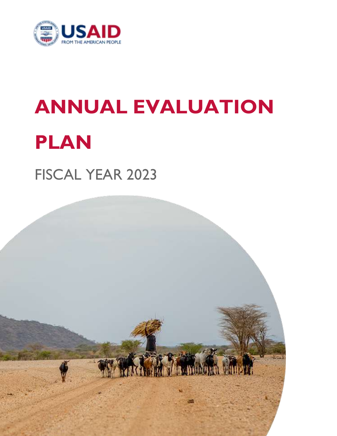

# **ANNUAL EVALUATION PLAN**

FISCAL YEAR 2023

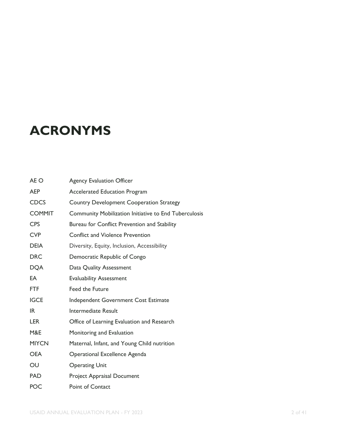### **ACRONYMS**

| AE O          | <b>Agency Evaluation Officer</b>                             |
|---------------|--------------------------------------------------------------|
| AEP           | <b>Accelerated Education Program</b>                         |
| <b>CDCS</b>   | Country Development Cooperation Strategy                     |
| <b>COMMIT</b> | <b>Community Mobilization Initiative to End Tuberculosis</b> |
| <b>CPS</b>    | Bureau for Conflict Prevention and Stability                 |
| <b>CVP</b>    | <b>Conflict and Violence Prevention</b>                      |
| <b>DEIA</b>   | Diversity, Equity, Inclusion, Accessibility                  |
| <b>DRC</b>    | Democratic Republic of Congo                                 |
| <b>DQA</b>    | Data Quality Assessment                                      |
| EA            | <b>Evaluability Assessment</b>                               |
| <b>FTF</b>    | <b>Feed the Future</b>                                       |
| <b>IGCE</b>   | Independent Government Cost Estimate                         |
| IR.           | Intermediate Result                                          |
| <b>LER</b>    | Office of Learning Evaluation and Research                   |
| M&E           | Monitoring and Evaluation                                    |
| <b>MIYCN</b>  | Maternal, Infant, and Young Child nutrition                  |
| <b>OEA</b>    | Operational Excellence Agenda                                |
| OU            | <b>Operating Unit</b>                                        |
| <b>PAD</b>    | Project Appraisal Document                                   |
| <b>POC</b>    | <b>Point of Contact</b>                                      |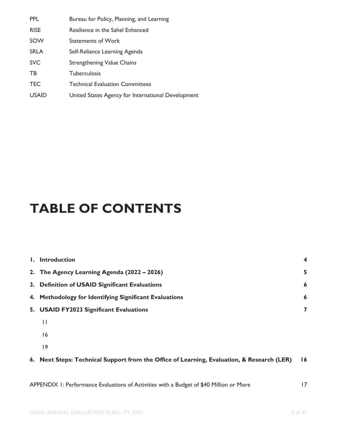| PPL          | Bureau for Policy, Planning, and Learning          |
|--------------|----------------------------------------------------|
| <b>RISE</b>  | Resilience in the Sahel Enhanced                   |
| SOW          | <b>Statements of Work</b>                          |
| <b>SRLA</b>  | Self-Reliance Learning Agenda                      |
| <b>SVC</b>   | <b>Strengthening Value Chains</b>                  |
| TB           | <b>Tuberculosis</b>                                |
| <b>TEC</b>   | <b>Technical Evaluation Committees</b>             |
| <b>USAID</b> | United States Agency for International Development |

### **TABLE OF CONTENTS**

| I. Introduction                                                                            | 4  |
|--------------------------------------------------------------------------------------------|----|
| 2. The Agency Learning Agenda (2022 – 2026)                                                | 5  |
| 3. Definition of USAID Significant Evaluations                                             | 6  |
| 4. Methodology for Identifying Significant Evaluations                                     | 6  |
| 5. USAID FY2023 Significant Evaluations                                                    | 7  |
| $\mathbf{I}$                                                                               |    |
| 16                                                                                         |    |
| 9                                                                                          |    |
| 6. Next Steps: Technical Support from the Office of Learning, Evaluation, & Research (LER) | 16 |
|                                                                                            |    |
| APPENDIX 1: Performance Evaluations of Activities with a Budget of \$40 Million or More    | 17 |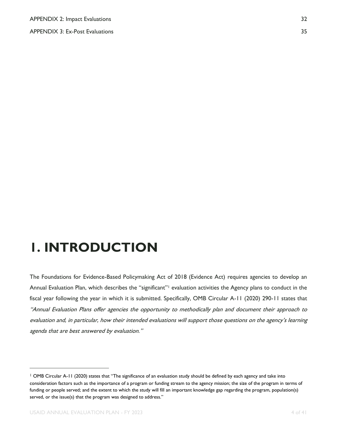APPENDIX 3: Ex-Post Evaluations 35

### <span id="page-3-0"></span>**1. INTRODUCTION**

The Foundations for Evidence-Based Policymaking Act of 2018 (Evidence Act) requires agencies to develop an Annual Evaluation Plan, which describes the "significant"<sup>1</sup> evaluation activities the Agency plans to conduct in the fiscal year following the year in which it is submitted. Specifically, OMB Circular A-11 (2020) 290-11 states that "Annual Evaluation Plans offer agencies the opportunity to methodically plan and document their approach to evaluation and, in particular, how their intended evaluations will support those questions on the agency's learning agenda that are best answered by evaluation."

<sup>1</sup> OMB Circular A-11 (2020) states that "The significance of an evaluation study should be defined by each agency and take into consideration factors such as the importance of a program or funding stream to the agency mission; the size of the program in terms of funding or people served; and the extent to which the study will fill an important knowledge gap regarding the program, population(s) served, or the issue(s) that the program was designed to address."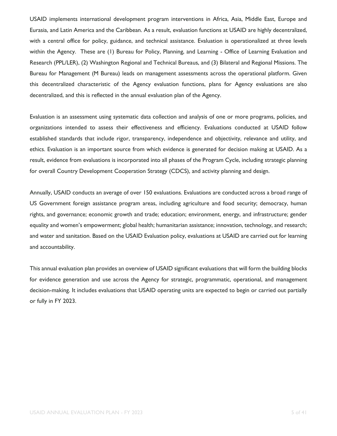USAID implements international development program interventions in Africa, Asia, Middle East, Europe and Eurasia, and Latin America and the Caribbean. As a result, evaluation functions at USAID are highly decentralized, with a central office for policy, guidance, and technical assistance. Evaluation is operationalized at three levels within the Agency. These are (1) Bureau for Policy, Planning, and Learning - Office of Learning Evaluation and Research (PPL/LER), (2) Washington Regional and Technical Bureaus, and (3) Bilateral and Regional Missions. The Bureau for Management (M Bureau) leads on management assessments across the operational platform. Given this decentralized characteristic of the Agency evaluation functions, plans for Agency evaluations are also decentralized, and this is reflected in the annual evaluation plan of the Agency.

Evaluation is an assessment using systematic data collection and analysis of one or more programs, policies, and organizations intended to assess their effectiveness and efficiency. Evaluations conducted at USAID follow established standards that include rigor, transparency, independence and objectivity, relevance and utility, and ethics. Evaluation is an important source from which evidence is generated for decision making at USAID. As a result, evidence from evaluations is incorporated into all phases of the Program Cycle, including strategic planning for overall Country Development Cooperation Strategy (CDCS), and activity planning and design.

Annually, USAID conducts an average of over 150 evaluations. Evaluations are conducted across a broad range of US Government foreign assistance program areas, including agriculture and food security; democracy, human rights, and governance; economic growth and trade; education; environment, energy, and infrastructure; gender equality and women's empowerment; global health; humanitarian assistance; innovation, technology, and research; and water and sanitation. Based on the USAID Evaluation policy, evaluations at USAID are carried out for learning and accountability.

This annual evaluation plan provides an overview of USAID significant evaluations that will form the building blocks for evidence generation and use across the Agency for strategic, programmatic, operational, and management decision-making. It includes evaluations that USAID operating units are expected to begin or carried out partially or fully in FY 2023.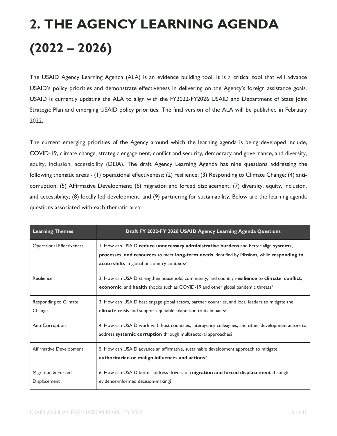# **2. THE AGENCY LEARNING AGENDA (2022 – 2026)**

The USAID Agency Learning Agenda (ALA) is an evidence building tool. It is a critical tool that will advance USAID's policy priorities and demonstrate effectiveness in delivering on the Agency's foreign assistance goals. USAID is currently updating the ALA to align with the FY2022-FY2026 USAID and Department of State Joint Strategic Plan and emerging USAID policy priorities. The final version of the ALA will be published in February 2022.

The current emerging priorities of the Agency around which the learning agenda is being developed include, COVID-19, climate change, strategic engagement, conflict and security, democracy and governance, and diversity, equity, inclusion, accessibility (DEIA). The draft Agency Learning Agenda has nine questions addressing the following thematic areas - (1) operational effectiveness; (2) resilience; (3) Responding to Climate Change; (4) anticorruption; (5) Affirmative Development; (6) migration and forced displacement; (7) diversity, equity, inclusion, and accessibility; (8) locally led development; and (9) partnering for sustainability. Below are the learning agenda questions associated with each thematic area:

| <b>Learning Themes</b>             | Draft FY 2022-FY 2026 USAID Agency Learning Agenda Questions                                                                                                                                                                        |
|------------------------------------|-------------------------------------------------------------------------------------------------------------------------------------------------------------------------------------------------------------------------------------|
| <b>Operational Effectiveness</b>   | I. How can USAID reduce unnecessary administrative burdens and better align systems,<br>processes, and resources to meet long-term needs identified by Missions, while responding to<br>acute shifts in global or country contexts? |
| Resilience                         | 2. How can USAID strengthen household, community, and country resilience to climate, conflict,<br>economic, and health shocks such as COVID-19 and other global pandemic threats?                                                   |
| Responding to Climate<br>Change    | 3. How can USAID best engage global actors, partner countries, and local leaders to mitigate the<br>climate crisis and support equitable adaptation to its impacts?                                                                 |
| Anti-Corruption                    | 4. How can USAID work with host countries, interagency colleagues, and other development actors to<br>address systemic corruption through multisectoral approaches?                                                                 |
| Affirmative Development            | 5. How can USAID advance an affirmative, sustainable development approach to mitigate<br>authoritarian or malign influences and actions?                                                                                            |
| Migration & Forced<br>Displacement | 6. How can USAID better address drivers of migration and forced displacement through<br>evidence-informed decision-making?                                                                                                          |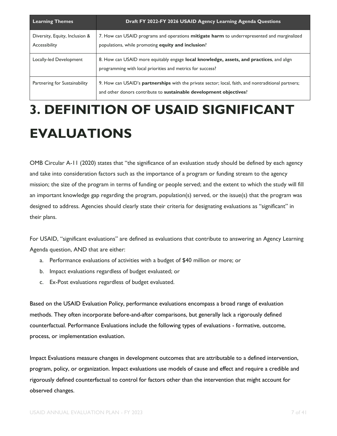| <b>Learning Themes</b>                          | Draft FY 2022-FY 2026 USAID Agency Learning Agenda Questions                                                                                                              |
|-------------------------------------------------|---------------------------------------------------------------------------------------------------------------------------------------------------------------------------|
| Diversity, Equity, Inclusion &<br>Accessibility | 7. How can USAID programs and operations mitigate harm to underrepresented and marginalized<br>populations, while promoting equity and inclusion?                         |
| Locally-led Development                         | 8. How can USAID more equitably engage local knowledge, assets, and practices, and align<br>programming with local priorities and metrics for success?                    |
| Partnering for Sustainability                   | 9. How can USAID's partnerships with the private sector; local, faith, and nontraditional partners;<br>and other donors contribute to sustainable development objectives? |

### **3. DEFINITION OF USAID SIGNIFICANT EVALUATIONS**

OMB Circular A-11 (2020) states that "the significance of an evaluation study should be defined by each agency and take into consideration factors such as the importance of a program or funding stream to the agency mission; the size of the program in terms of funding or people served; and the extent to which the study will fill an important knowledge gap regarding the program, population(s) served, or the issue(s) that the program was designed to address. Agencies should clearly state their criteria for designating evaluations as "significant" in their plans.

For USAID, "significant evaluations" are defined as evaluations that contribute to answering an Agency Learning Agenda question, AND that are either:

- a. Performance evaluations of activities with a budget of \$40 million or more; or
- b. Impact evaluations regardless of budget evaluated; or
- c. Ex-Post evaluations regardless of budget evaluated.

Based on the USAID Evaluation Policy, performance evaluations encompass a broad range of evaluation methods. They often incorporate before-and-after comparisons, but generally lack a rigorously defined counterfactual. Performance Evaluations include the following types of evaluations - formative, outcome, process, or implementation evaluation.

Impact Evaluations measure changes in development outcomes that are attributable to a defined intervention, program, policy, or organization. Impact evaluations use models of cause and effect and require a credible and rigorously defined counterfactual to control for factors other than the intervention that might account for observed changes.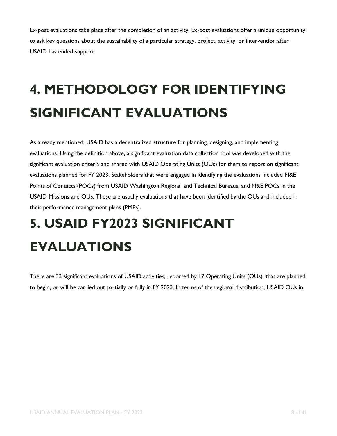Ex-post evaluations take place after the completion of an activity. Ex-post evaluations offer a unique opportunity to ask key questions about the sustainability of a particular strategy, project, activity, or intervention after USAID has ended support.

## <span id="page-7-0"></span>**4. METHODOLOGY FOR IDENTIFYING SIGNIFICANT EVALUATIONS**

As already mentioned, USAID has a decentralized structure for planning, designing, and implementing evaluations. Using the definition above, a significant evaluation data collection tool was developed with the significant evaluation criteria and shared with USAID Operating Units (OUs) for them to report on significant evaluations planned for FY 2023. Stakeholders that were engaged in identifying the evaluations included M&E Points of Contacts (POCs) from USAID Washington Regional and Technical Bureaus, and M&E POCs in the USAID Missions and OUs. These are usually evaluations that have been identified by the OUs and included in their performance management plans (PMPs).

## **5. USAID FY2023 SIGNIFICANT EVALUATIONS**

There are 33 significant evaluations of USAID activities, reported by 17 Operating Units (OUs), that are planned to begin, or will be carried out partially or fully in FY 2023. In terms of the regional distribution, USAID OUs in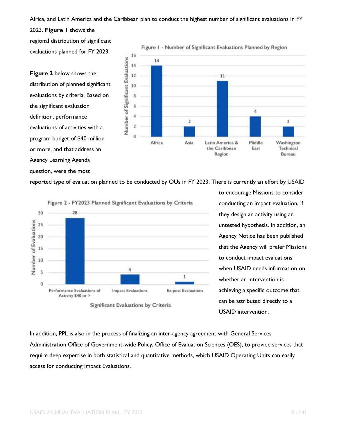#### Africa, and Latin America and the Caribbean plan to conduct the highest number of significant evaluations in FY

2023. **Figure 1** shows the regional distribution of significant evaluations planned for FY 2023.

**Figure 2** below shows the distribution of planned significant evaluations by criteria. Based on the significant evaluation definition, performance evaluations of activities with a program budget of \$40 million or more, and that address an Agency Learning Agenda question, were the most



reported type of evaluation planned to be conducted by OUs in FY 2023. There is currently an effort by USAID



to encourage Missions to consider conducting an impact evaluation, if they design an activity using an untested hypothesis. In addition, an Agency Notice has been published that the Agency will prefer Missions to conduct impact evaluations when USAID needs information on whether an intervention is achieving a specific outcome that can be attributed directly to a USAID intervention.

In addition, PPL is also in the process of finalizing an inter-agency agreement with General Services Administration Office of Government-wide Policy, Office of Evaluation Sciences (OES), to provide services that require deep expertise in both statistical and quantitative methods, which USAID Operating Units can easily access for conducting Impact Evaluations.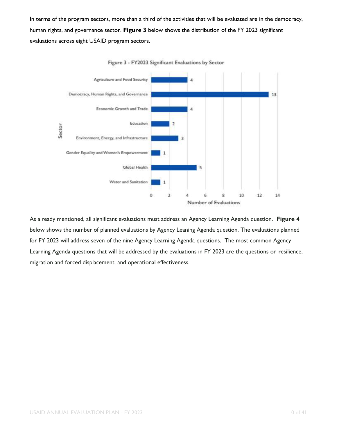In terms of the program sectors, more than a third of the activities that will be evaluated are in the democracy, human rights, and governance sector. **Figure 3** below shows the distribution of the FY 2023 significant evaluations across eight USAID program sectors.



Figure 3 - FY2023 Significant Evaluations by Sector

As already mentioned, all significant evaluations must address an Agency Learning Agenda question. **Figure 4** below shows the number of planned evaluations by Agency Leaning Agenda question. The evaluations planned for FY 2023 will address seven of the nine Agency Learning Agenda questions. The most common Agency Learning Agenda questions that will be addressed by the evaluations in FY 2023 are the questions on resilience, migration and forced displacement, and operational effectiveness.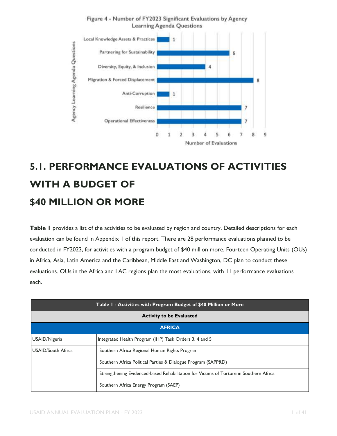

#### Figure 4 - Number of FY2023 Significant Evaluations by Agency **Learning Agenda Questions**

### **5.1. PERFORMANCE EVALUATIONS OF ACTIVITIES WITH A BUDGET OF \$40 MILLION OR MORE**

**Table 1** provides a list of the activities to be evaluated by region and country. Detailed descriptions for each evaluation can be found in Appendix 1 of this report. There are 28 performance evaluations planned to be conducted in FY2023, for activities with a program budget of \$40 million more. Fourteen Operating Units (OUs) in Africa, Asia, Latin America and the Caribbean, Middle East and Washington, DC plan to conduct these evaluations. OUs in the Africa and LAC regions plan the most evaluations, with 11 performance evaluations each.

| Table 1 - Activities with Program Budget of \$40 Million or More |                                                                                        |
|------------------------------------------------------------------|----------------------------------------------------------------------------------------|
| <b>Activity to be Evaluated</b>                                  |                                                                                        |
| <b>AFRICA</b>                                                    |                                                                                        |
| USAID/Nigeria                                                    | Integrated Health Program (IHP) Task Orders 3, 4 and 5                                 |
| <b>USAID/South Africa</b>                                        | Southern Africa Regional Human Rights Program                                          |
|                                                                  | Southern Africa Political Parties & Dialogue Program (SAPP&D)                          |
|                                                                  | Strengthening Evidenced-based Rehabilitation for Victims of Torture in Southern Africa |
|                                                                  | Southern Africa Energy Program (SAEP)                                                  |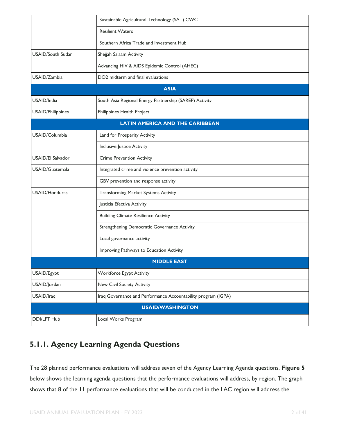|                          | Sustainable Agricultural Technology (SAT) CWC                 |
|--------------------------|---------------------------------------------------------------|
|                          | <b>Resilient Waters</b>                                       |
|                          | Southern Africa Trade and Investment Hub                      |
| <b>USAID/South Sudan</b> | Shejjah Salaam Activity                                       |
|                          | Advancing HIV & AIDS Epidemic Control (AHEC)                  |
| USAID/Zambia             | DO2 midterm and final evaluations                             |
|                          | <b>ASIA</b>                                                   |
| USAID/India              | South Asia Regional Energy Partnership (SAREP) Activity       |
| USAID/Philippines        | Philippines Health Project                                    |
|                          | <b>LATIN AMERICA AND THE CARIBBEAN</b>                        |
| USAID/Columbia           | Land for Prosperity Activity                                  |
|                          | Inclusive Justice Activity                                    |
| <b>USAID/El Salvador</b> | <b>Crime Prevention Activity</b>                              |
| USAID/Guatemala          | Integrated crime and violence prevention activity             |
|                          | GBV prevention and response activity                          |
| <b>USAID/Honduras</b>    | <b>Transforming Market Systems Activity</b>                   |
|                          | Justicia Efectiva Activity                                    |
|                          | <b>Building Climate Resilience Activity</b>                   |
|                          | Strengthening Democratic Governance Activity                  |
|                          | Local governance activity                                     |
|                          | Improving Pathways to Education Activity                      |
|                          | <b>MIDDLE EAST</b>                                            |
| USAID/Egypt              | <b>Workforce Egypt Activity</b>                               |
| USAID/Jordan             | New Civil Society Activity                                    |
| USAID/Iraq               | Iraq Governance and Performance Accountability program (IGPA) |
|                          | <b>USAID/WASHINGTON</b>                                       |
| <b>DDI/LFT Hub</b>       | Local Works Program                                           |

#### **5.1.1. Agency Learning Agenda Questions**

The 28 planned performance evaluations will address seven of the Agency Learning Agenda questions. **Figure 5** below shows the learning agenda questions that the performance evaluations will address, by region. The graph shows that 8 of the 11 performance evaluations that will be conducted in the LAC region will address the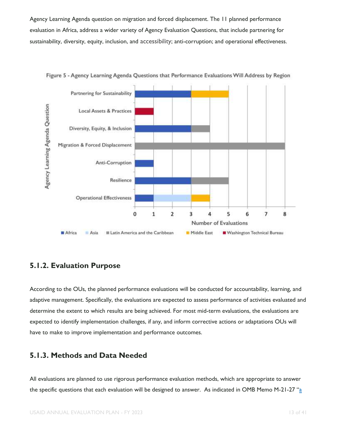Agency Learning Agenda question on migration and forced displacement. The 11 planned performance evaluation in Africa, address a wider variety of Agency Evaluation Questions, that include partnering for sustainability, diversity, equity, inclusion, and accessibility; anti-corruption; and operational effectiveness.



Figure 5 - Agency Learning Agenda Questions that Performance Evaluations Will Address by Region

#### **5.1.2. Evaluation Purpose**

According to the OUs, the planned performance evaluations will be conducted for accountability, learning, and adaptive management. Specifically, the evaluations are expected to assess performance of activities evaluated and determine the extent to which results are being achieved. For most mid-term evaluations, the evaluations are expected to identify implementation challenges, if any, and inform corrective actions or adaptations OUs will have to make to improve implementation and performance outcomes.

#### **5.1.3. Methods and Data Needed**

All evaluations are planned to use rigorous performance evaluation methods, which are appropriate to answer the specific questions that each evaluation will be designed to answer. As indicated in OMB Memo M-21-27  $\frac{a}{a}$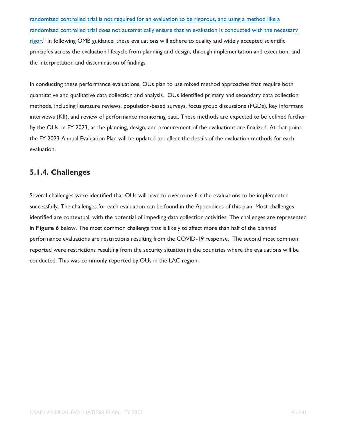[randomized controlled trial is not required for an evaluation to be rigorous, and using a method like a](https://www.whitehouse.gov/wp-content/uploads/2021/06/M-21-27.pdf)  [randomized controlled trial does not automatically ensure that an evaluation is conducted with the necessary](https://www.whitehouse.gov/wp-content/uploads/2021/06/M-21-27.pdf)  [rigor](https://www.whitehouse.gov/wp-content/uploads/2021/06/M-21-27.pdf)." In following OMB guidance, these evaluations will adhere to quality and widely accepted scientific principles across the evaluation lifecycle from planning and design, through implementation and execution, and the interpretation and dissemination of findings.

In conducting these performance evaluations, OUs plan to use mixed method approaches that require both quantitative and qualitative data collection and analysis. OUs identified primary and secondary data collection methods, including literature reviews, population-based surveys, focus group discussions (FGDs), key informant interviews (KII), and review of performance monitoring data. These methods are expected to be defined further by the OUs, in FY 2023, as the planning, design, and procurement of the evaluations are finalized. At that point, the FY 2023 Annual Evaluation Plan will be updated to reflect the details of the evaluation methods for each evaluation.

#### **5.1.4. Challenges**

Several challenges were identified that OUs will have to overcome for the evaluations to be implemented successfully. The challenges for each evaluation can be found in the Appendices of this plan. Most challenges identified are contextual, with the potential of impeding data collection activities. The challenges are represented in **Figure 6** below. The most common challenge that is likely to affect more than half of the planned performance evaluations are restrictions resulting from the COVID-19 response. The second most common reported were restrictions resulting from the security situation in the countries where the evaluations will be conducted. This was commonly reported by OUs in the LAC region.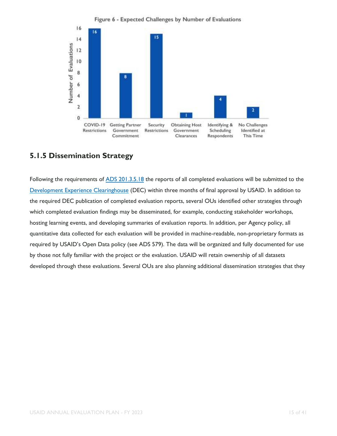

#### **5.1.5 Dissemination Strategy**

Following the requirements of [ADS 201.3.5.18](https://www.usaid.gov/ads/policy/200/201) the reports of all completed evaluations will be submitted to th[e](https://dec.usaid.gov/dec/home/Default.aspx) [Development Experience Clearinghouse](https://dec.usaid.gov/dec/home/Default.aspx) (DEC) within three months of final approval by USAID. In addition to the required DEC publication of completed evaluation reports, several OUs identified other strategies through which completed evaluation findings may be disseminated, for example, conducting stakeholder workshops, hosting learning events, and developing summaries of evaluation reports. In addition, per Agency policy, all quantitative data collected for each evaluation will be provided in machine-readable, non-proprietary formats as required by USAID's Open Data policy (see ADS 579). The data will be organized and fully documented for use by those not fully familiar with the project or the evaluation. USAID will retain ownership of all datasets developed through these evaluations. Several OUs are also planning additional dissemination strategies that they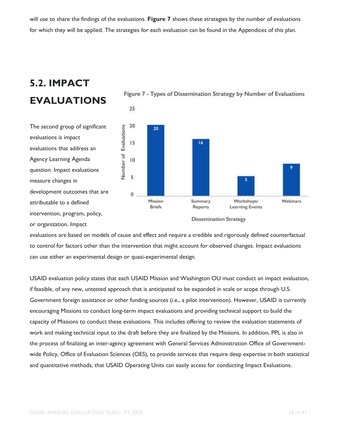will use to share the findings of the evaluations. **Figure 7** shows these strategies by the number of evaluations for which they will be applied. The strategies for each evaluation can be found in the Appendices of this plan.

#### **EVALUATIONS** 25 20 **Number of Evaluations** 20  $15$ 16  $\overline{10}$ 5  $\overline{0}$ Mission Webinars Summary Workshops/ **Briefs** Reports **Learning Events Dissemination Strategy**

Figure 7 - Types of Dissemination Strategy by Number of Evaluations

The second group of significant evaluations is impact evaluations that address an Agency Learning Agenda question. Impact evaluations measure changes in development outcomes that are attributable to a defined intervention, program, policy, or organization. Impact

**5.2. IMPACT** 

evaluations are based on models of cause and effect and require a credible and rigorously defined counterfactual to control for factors other than the intervention that might account for observed changes. Impact evaluations can use either an experimental design or quasi-experimental design.

USAID evaluation policy states that each USAID Mission and Washington OU must conduct an impact evaluation, if feasible, of any new, untested approach that is anticipated to be expanded in scale or scope through U.S. Government foreign assistance or other funding sources (i.e., a pilot intervention). However, USAID is currently encouraging Missions to conduct long-term impact evaluations and providing technical support to build the capacity of Missions to conduct these evaluations. This includes offering to review the evaluation statements of work and making technical input to the draft before they are finalized by the Missions. In addition, PPL is also in the process of finalizing an inter-agency agreement with General Services Administration Office of Governmentwide Policy, Office of Evaluation Sciences (OES), to provide services that require deep expertise in both statistical and quantitative methods, that USAID Operating Units can easily access for conducting Impact Evaluations.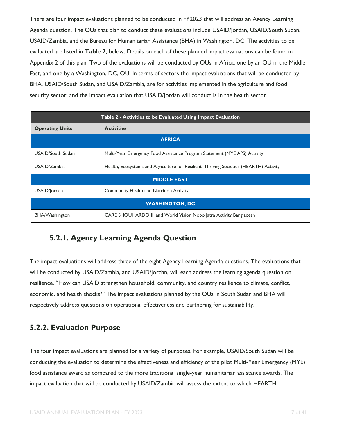There are four impact evaluations planned to be conducted in FY2023 that will address an Agency Learning Agenda question. The OUs that plan to conduct these evaluations include USAID/Jordan, USAID/South Sudan, USAID/Zambia, and the Bureau for Humanitarian Assistance (BHA) in Washington, DC. The activities to be evaluated are listed in **Table 2**, below. Details on each of these planned impact evaluations can be found in Appendix 2 of this plan. Two of the evaluations will be conducted by OUs in Africa, one by an OU in the Middle East, and one by a Washington, DC, OU. In terms of sectors the impact evaluations that will be conducted by BHA, USAID/South Sudan, and USAID/Zambia, are for activities implemented in the agriculture and food security sector, and the impact evaluation that USAID/Jordan will conduct is in the health sector.

| Table 2 - Activities to be Evaluated Using Impact Evaluation |                                                                                        |  |
|--------------------------------------------------------------|----------------------------------------------------------------------------------------|--|
| <b>Operating Units</b>                                       | <b>Activities</b>                                                                      |  |
| <b>AFRICA</b>                                                |                                                                                        |  |
| <b>USAID/South Sudan</b>                                     | Multi-Year Emergency Food Assistance Program Statement (MYE APS) Activity              |  |
| USAID/Zambia                                                 | Health, Ecosystems and Agriculture for Resilient, Thriving Societies (HEARTH) Activity |  |
| <b>MIDDLE EAST</b>                                           |                                                                                        |  |
| USAID/Jordan                                                 | <b>Community Health and Nutrition Activity</b>                                         |  |
| <b>WASHINGTON, DC</b>                                        |                                                                                        |  |
| BHA/Washington                                               | CARE SHOUHARDO III and World Vision Nobo Jatra Activity Bangladesh                     |  |

#### **5.2.1. Agency Learning Agenda Question**

The impact evaluations will address three of the eight Agency Learning Agenda questions. The evaluations that will be conducted by USAID/Zambia, and USAID/Jordan, will each address the learning agenda question on resilience, "How can USAID strengthen household, community, and country resilience to climate, conflict, economic, and health shocks?" The impact evaluations planned by the OUs in South Sudan and BHA will respectively address questions on operational effectiveness and partnering for sustainability.

#### **5.2.2. Evaluation Purpose**

The four impact evaluations are planned for a variety of purposes. For example, USAID/South Sudan will be conducting the evaluation to determine the effectiveness and efficiency of the pilot Multi-Year Emergency (MYE) food assistance award as compared to the more traditional single-year humanitarian assistance awards. The impact evaluation that will be conducted by USAID/Zambia will assess the extent to which HEARTH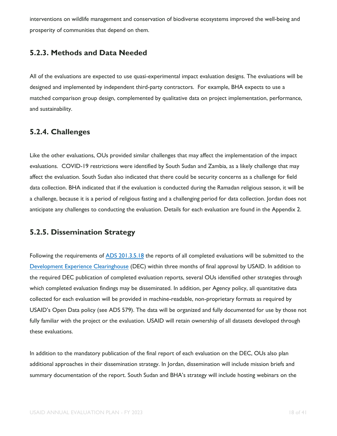interventions on wildlife management and conservation of biodiverse ecosystems improved the well-being and prosperity of communities that depend on them.

#### **5.2.3. Methods and Data Needed**

All of the evaluations are expected to use quasi-experimental impact evaluation designs. The evaluations will be designed and implemented by independent third-party contractors. For example, BHA expects to use a matched comparison group design, complemented by qualitative data on project implementation, performance, and sustainability.

#### **5.2.4. Challenges**

Like the other evaluations, OUs provided similar challenges that may affect the implementation of the impact evaluations. COVID-19 restrictions were identified by South Sudan and Zambia, as a likely challenge that may affect the evaluation. South Sudan also indicated that there could be security concerns as a challenge for field data collection. BHA indicated that if the evaluation is conducted during the Ramadan religious season, it will be a challenge, because it is a period of religious fasting and a challenging period for data collection. Jordan does not anticipate any challenges to conducting the evaluation. Details for each evaluation are found in the Appendix 2.

#### **5.2.5. Dissemination Strategy**

Following the requirements of [ADS 201.3.5.18](https://www.usaid.gov/ads/policy/200/201) the reports of all completed evaluations will be submitted to th[e](https://dec.usaid.gov/dec/home/Default.aspx) [Development Experience Clearinghouse](https://dec.usaid.gov/dec/home/Default.aspx) (DEC) within three months of final approval by USAID. In addition to the required DEC publication of completed evaluation reports, several OUs identified other strategies through which completed evaluation findings may be disseminated. In addition, per Agency policy, all quantitative data collected for each evaluation will be provided in machine-readable, non-proprietary formats as required by USAID's Open Data policy (see ADS 579). The data will be organized and fully documented for use by those not fully familiar with the project or the evaluation. USAID will retain ownership of all datasets developed through these evaluations.

In addition to the mandatory publication of the final report of each evaluation on the DEC, OUs also plan additional approaches in their dissemination strategy. In Jordan, dissemination will include mission briefs and summary documentation of the report. South Sudan and BHA's strategy will include hosting webinars on the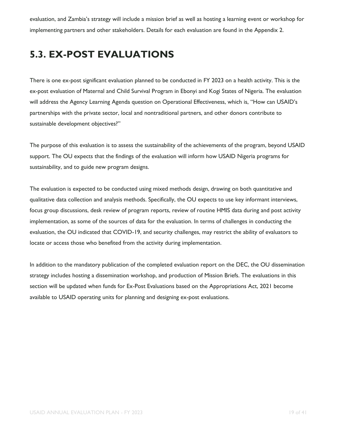evaluation, and Zambia's strategy will include a mission brief as well as hosting a learning event or workshop for implementing partners and other stakeholders. Details for each evaluation are found in the Appendix 2.

#### **5.3. EX-POST EVALUATIONS**

There is one ex-post significant evaluation planned to be conducted in FY 2023 on a health activity. This is the ex-post evaluation of Maternal and Child Survival Program in Ebonyi and Kogi States of Nigeria. The evaluation will address the Agency Learning Agenda question on Operational Effectiveness, which is, "How can USAID's partnerships with the private sector, local and nontraditional partners, and other donors contribute to sustainable development objectives?"

The purpose of this evaluation is to assess the sustainability of the achievements of the program, beyond USAID support. The OU expects that the findings of the evaluation will inform how USAID Nigeria programs for sustainability, and to guide new program designs.

The evaluation is expected to be conducted using mixed methods design, drawing on both quantitative and qualitative data collection and analysis methods. Specifically, the OU expects to use key informant interviews, focus group discussions, desk review of program reports, review of routine HMIS data during and post activity implementation, as some of the sources of data for the evaluation. In terms of challenges in conducting the evaluation, the OU indicated that COVID-19, and security challenges, may restrict the ability of evaluators to locate or access those who benefited from the activity during implementation.

In addition to the mandatory publication of the completed evaluation report on the DEC, the OU dissemination strategy includes hosting a dissemination workshop, and production of Mission Briefs. The evaluations in this section will be updated when funds for Ex-Post Evaluations based on the Appropriations Act, 2021 become available to USAID operating units for planning and designing ex-post evaluations.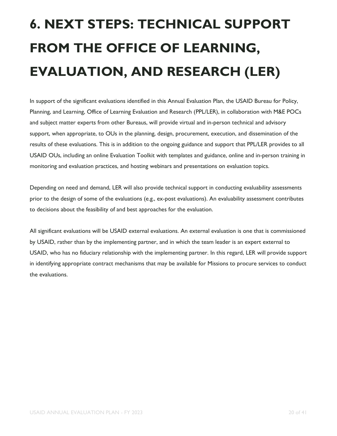# <span id="page-19-0"></span>**6. NEXT STEPS: TECHNICAL SUPPORT FROM THE OFFICE OF LEARNING, EVALUATION, AND RESEARCH (LER)**

In support of the significant evaluations identified in this Annual Evaluation Plan, the USAID Bureau for Policy, Planning, and Learning, Office of Learning Evaluation and Research (PPL/LER), in collaboration with M&E POCs and subject matter experts from other Bureaus, will provide virtual and in-person technical and advisory support, when appropriate, to OUs in the planning, design, procurement, execution, and dissemination of the results of these evaluations. This is in addition to the ongoing guidance and support that PPL/LER provides to all USAID OUs, including an online Evaluation Toolkit with templates and guidance, online and in-person training in monitoring and evaluation practices, and hosting webinars and presentations on evaluation topics.

Depending on need and demand, LER will also provide technical support in conducting evaluability assessments prior to the design of some of the evaluations (e.g., ex-post evaluations). An evaluability assessment contributes to decisions about the feasibility of and best approaches for the evaluation.

All significant evaluations will be USAID external evaluations. An external evaluation is one that is commissioned by USAID, rather than by the implementing partner, and in which the team leader is an expert external to USAID, who has no fiduciary relationship with the implementing partner. In this regard, LER will provide support in identifying appropriate contract mechanisms that may be available for Missions to procure services to conduct the evaluations.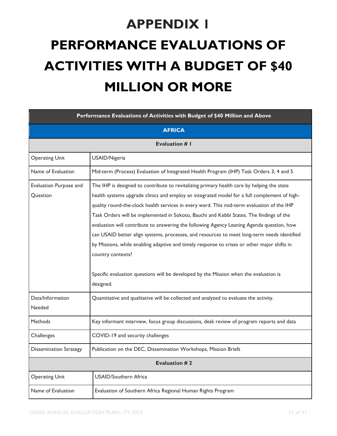# <span id="page-20-0"></span>**APPENDIX 1 PERFORMANCE EVALUATIONS OF ACTIVITIES WITH A BUDGET OF \$40 MILLION OR MORE**

| Performance Evaluations of Activities with Budget of \$40 Million and Above |                                                                                                                                                                                                                                                                                                                                                                                                                                                                                                                                                                                                                                                                                                                                                                                                           |  |  |
|-----------------------------------------------------------------------------|-----------------------------------------------------------------------------------------------------------------------------------------------------------------------------------------------------------------------------------------------------------------------------------------------------------------------------------------------------------------------------------------------------------------------------------------------------------------------------------------------------------------------------------------------------------------------------------------------------------------------------------------------------------------------------------------------------------------------------------------------------------------------------------------------------------|--|--|
|                                                                             | <b>AFRICA</b>                                                                                                                                                                                                                                                                                                                                                                                                                                                                                                                                                                                                                                                                                                                                                                                             |  |  |
|                                                                             | <b>Evaluation # I</b>                                                                                                                                                                                                                                                                                                                                                                                                                                                                                                                                                                                                                                                                                                                                                                                     |  |  |
| <b>Operating Unit</b>                                                       | USAID/Nigeria                                                                                                                                                                                                                                                                                                                                                                                                                                                                                                                                                                                                                                                                                                                                                                                             |  |  |
| Name of Evaluation                                                          | Mid-term (Process) Evaluation of Integrated Health Program (IHP) Task Orders 3, 4 and 5                                                                                                                                                                                                                                                                                                                                                                                                                                                                                                                                                                                                                                                                                                                   |  |  |
| Evaluation Purpose and<br>Question                                          | The IHP is designed to contribute to revitalizing primary health care by helping the state<br>health systems upgrade clinics and employ an integrated model for a full complement of high-<br>quality round-the-clock health services in every ward. This mid-term evaluation of the IHP<br>Task Orders will be implemented in Sokoto, Bauchi and Kebbi States. The findings of the<br>evaluation will contribute to answering the following Agency Leaning Agenda question, how<br>can USAID better align systems, processes, and resources to meet long-term needs identified<br>by Missions, while enabling adaptive and timely response to crises or other major shifts in<br>country contexts?<br>Specific evaluation questions will be developed by the Mission when the evaluation is<br>designed. |  |  |
| Data/Information<br>Needed                                                  | Quantitative and qualitative will be collected and analyzed to evaluate the activity.                                                                                                                                                                                                                                                                                                                                                                                                                                                                                                                                                                                                                                                                                                                     |  |  |
| Methods                                                                     | Key informant interview, focus group discussions, desk review of program reports and data                                                                                                                                                                                                                                                                                                                                                                                                                                                                                                                                                                                                                                                                                                                 |  |  |
| Challenges                                                                  | COVID-19 and security challenges                                                                                                                                                                                                                                                                                                                                                                                                                                                                                                                                                                                                                                                                                                                                                                          |  |  |
| <b>Dissemination Strategy</b>                                               | Publication on the DEC, Dissemination Workshops, Mission Briefs                                                                                                                                                                                                                                                                                                                                                                                                                                                                                                                                                                                                                                                                                                                                           |  |  |
| <b>Evaluation #2</b>                                                        |                                                                                                                                                                                                                                                                                                                                                                                                                                                                                                                                                                                                                                                                                                                                                                                                           |  |  |
| <b>Operating Unit</b>                                                       | <b>USAID/Southern Africa</b>                                                                                                                                                                                                                                                                                                                                                                                                                                                                                                                                                                                                                                                                                                                                                                              |  |  |
| Name of Evaluation                                                          | Evaluation of Southern Africa Regional Human Rights Program                                                                                                                                                                                                                                                                                                                                                                                                                                                                                                                                                                                                                                                                                                                                               |  |  |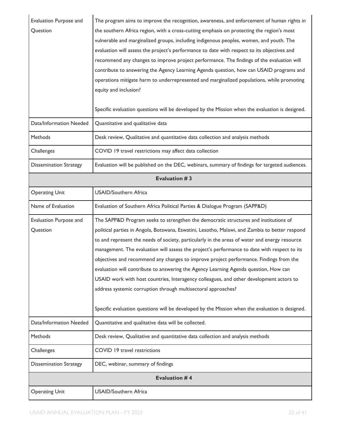| Evaluation Purpose and<br>Question | The program aims to improve the recognition, awareness, and enforcement of human rights in<br>the southern Africa region, with a cross-cutting emphasis on protecting the region's most<br>vulnerable and marginalized groups, including indigenous peoples, women, and youth. The<br>evaluation will assess the project's performance to date with respect to its objectives and<br>recommend any changes to improve project performance. The findings of the evaluation will<br>contribute to answering the Agency Learning Agenda question, how can USAID programs and |  |
|------------------------------------|---------------------------------------------------------------------------------------------------------------------------------------------------------------------------------------------------------------------------------------------------------------------------------------------------------------------------------------------------------------------------------------------------------------------------------------------------------------------------------------------------------------------------------------------------------------------------|--|
|                                    | operations mitigate harm to underrepresented and marginalized populations, while promoting<br>equity and inclusion?<br>Specific evaluation questions will be developed by the Mission when the evaluation is designed.                                                                                                                                                                                                                                                                                                                                                    |  |
| Data/Information Needed            | Quantitative and qualitative data                                                                                                                                                                                                                                                                                                                                                                                                                                                                                                                                         |  |
| Methods                            |                                                                                                                                                                                                                                                                                                                                                                                                                                                                                                                                                                           |  |
|                                    | Desk review, Qualitative and quantitative data collection and analysis methods                                                                                                                                                                                                                                                                                                                                                                                                                                                                                            |  |
| Challenges                         | COVID 19 travel restrictions may affect data collection                                                                                                                                                                                                                                                                                                                                                                                                                                                                                                                   |  |
| <b>Dissemination Strategy</b>      | Evaluation will be published on the DEC, webinars, summary of findings for targeted audiences.                                                                                                                                                                                                                                                                                                                                                                                                                                                                            |  |
| <b>Evaluation #3</b>               |                                                                                                                                                                                                                                                                                                                                                                                                                                                                                                                                                                           |  |
| <b>Operating Unit</b>              | <b>USAID/Southern Africa</b>                                                                                                                                                                                                                                                                                                                                                                                                                                                                                                                                              |  |
| Name of Evaluation                 | Evaluation of Southern Africa Political Parties & Dialogue Program (SAPP&D)                                                                                                                                                                                                                                                                                                                                                                                                                                                                                               |  |
| Evaluation Purpose and             | The SAPP&D Program seeks to strengthen the democratic structures and institutions of                                                                                                                                                                                                                                                                                                                                                                                                                                                                                      |  |
| Question                           | political parties in Angola, Botswana, Eswatini, Lesotho, Malawi, and Zambia to better respond                                                                                                                                                                                                                                                                                                                                                                                                                                                                            |  |
|                                    | to and represent the needs of society, particularly in the areas of water and energy resource                                                                                                                                                                                                                                                                                                                                                                                                                                                                             |  |
|                                    | management. The evaluation will assess the project's performance to date with respect to its                                                                                                                                                                                                                                                                                                                                                                                                                                                                              |  |
|                                    | objectives and recommend any changes to improve project performance. Findings from the                                                                                                                                                                                                                                                                                                                                                                                                                                                                                    |  |
|                                    | evaluation will contribute to answering the Agency Learning Agenda question, How can                                                                                                                                                                                                                                                                                                                                                                                                                                                                                      |  |
|                                    | USAID work with host countries, Interagency colleagues, and other development actors to<br>address systemic corruption through multisectoral approaches?                                                                                                                                                                                                                                                                                                                                                                                                                  |  |
|                                    |                                                                                                                                                                                                                                                                                                                                                                                                                                                                                                                                                                           |  |
|                                    | Specific evaluation questions will be developed by the Mission when the evaluation is designed.                                                                                                                                                                                                                                                                                                                                                                                                                                                                           |  |
| Data/Information Needed            | Quantitative and qualitative data will be collected.                                                                                                                                                                                                                                                                                                                                                                                                                                                                                                                      |  |
| Methods                            | Desk review, Qualitative and quantitative data collection and analysis methods                                                                                                                                                                                                                                                                                                                                                                                                                                                                                            |  |
| Challenges                         | COVID 19 travel restrictions                                                                                                                                                                                                                                                                                                                                                                                                                                                                                                                                              |  |
| <b>Dissemination Strategy</b>      | DEC, webinar, summary of findings                                                                                                                                                                                                                                                                                                                                                                                                                                                                                                                                         |  |
|                                    | <b>Evaluation #4</b>                                                                                                                                                                                                                                                                                                                                                                                                                                                                                                                                                      |  |
| <b>Operating Unit</b>              | <b>USAID/Southern Africa</b>                                                                                                                                                                                                                                                                                                                                                                                                                                                                                                                                              |  |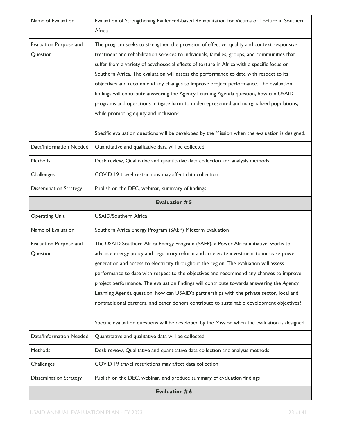| Name of Evaluation                 | Evaluation of Strengthening Evidenced-based Rehabilitation for Victims of Torture in Southern<br>Africa                                                                                                                                                                                                                                                                                                                                                                                                                                                                                                                                                                                                                                                                                                     |
|------------------------------------|-------------------------------------------------------------------------------------------------------------------------------------------------------------------------------------------------------------------------------------------------------------------------------------------------------------------------------------------------------------------------------------------------------------------------------------------------------------------------------------------------------------------------------------------------------------------------------------------------------------------------------------------------------------------------------------------------------------------------------------------------------------------------------------------------------------|
| Evaluation Purpose and<br>Question | The program seeks to strengthen the provision of effective, quality and context responsive<br>treatment and rehabilitation services to individuals, families, groups, and communities that<br>suffer from a variety of psychosocial effects of torture in Africa with a specific focus on<br>Southern Africa. The evaluation will assess the performance to date with respect to its<br>objectives and recommend any changes to improve project performance. The evaluation<br>findings will contribute answering the Agency Learning Agenda question, how can USAID<br>programs and operations mitigate harm to underrepresented and marginalized populations,<br>while promoting equity and inclusion?<br>Specific evaluation questions will be developed by the Mission when the evaluation is designed. |
| Data/Information Needed            | Quantitative and qualitative data will be collected.                                                                                                                                                                                                                                                                                                                                                                                                                                                                                                                                                                                                                                                                                                                                                        |
| <b>Methods</b>                     | Desk review, Qualitative and quantitative data collection and analysis methods                                                                                                                                                                                                                                                                                                                                                                                                                                                                                                                                                                                                                                                                                                                              |
| Challenges                         | COVID 19 travel restrictions may affect data collection                                                                                                                                                                                                                                                                                                                                                                                                                                                                                                                                                                                                                                                                                                                                                     |
| <b>Dissemination Strategy</b>      | Publish on the DEC, webinar, summary of findings                                                                                                                                                                                                                                                                                                                                                                                                                                                                                                                                                                                                                                                                                                                                                            |
|                                    | Evaluation #5                                                                                                                                                                                                                                                                                                                                                                                                                                                                                                                                                                                                                                                                                                                                                                                               |
| <b>Operating Unit</b>              | <b>USAID/Southern Africa</b>                                                                                                                                                                                                                                                                                                                                                                                                                                                                                                                                                                                                                                                                                                                                                                                |
| Name of Evaluation                 | Southern Africa Energy Program (SAEP) Midterm Evaluation                                                                                                                                                                                                                                                                                                                                                                                                                                                                                                                                                                                                                                                                                                                                                    |
| Evaluation Purpose and<br>Question | The USAID Southern Africa Energy Program (SAEP), a Power Africa initiative, works to<br>advance energy policy and regulatory reform and accelerate investment to increase power<br>generation and access to electricity throughout the region. The evaluation will assess<br>performance to date with respect to the objectives and recommend any changes to improve<br>project performance. The evaluation findings will contribute towards answering the Agency                                                                                                                                                                                                                                                                                                                                           |
|                                    | Learning Agenda question, how can USAID's partnerships with the private sector, local and<br>nontraditional partners, and other donors contribute to sustainable development objectives?<br>Specific evaluation questions will be developed by the Mission when the evaluation is designed.                                                                                                                                                                                                                                                                                                                                                                                                                                                                                                                 |
| Data/Information Needed            | Quantitative and qualitative data will be collected.                                                                                                                                                                                                                                                                                                                                                                                                                                                                                                                                                                                                                                                                                                                                                        |
| Methods                            | Desk review, Qualitative and quantitative data collection and analysis methods                                                                                                                                                                                                                                                                                                                                                                                                                                                                                                                                                                                                                                                                                                                              |
| Challenges                         | COVID 19 travel restrictions may affect data collection                                                                                                                                                                                                                                                                                                                                                                                                                                                                                                                                                                                                                                                                                                                                                     |
| <b>Dissemination Strategy</b>      | Publish on the DEC, webinar, and produce summary of evaluation findings                                                                                                                                                                                                                                                                                                                                                                                                                                                                                                                                                                                                                                                                                                                                     |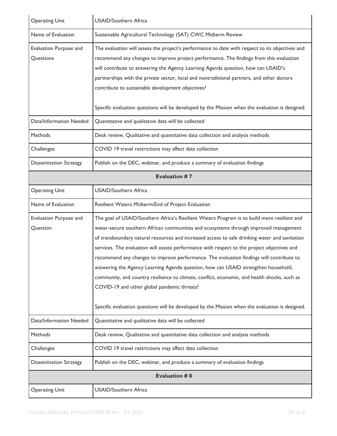| <b>Operating Unit</b>               | <b>USAID/Southern Africa</b>                                                                                                                                                                                                                                                                                                                                                                                                                                                                                                                                                                                                                                                                                                                                                                                            |  |
|-------------------------------------|-------------------------------------------------------------------------------------------------------------------------------------------------------------------------------------------------------------------------------------------------------------------------------------------------------------------------------------------------------------------------------------------------------------------------------------------------------------------------------------------------------------------------------------------------------------------------------------------------------------------------------------------------------------------------------------------------------------------------------------------------------------------------------------------------------------------------|--|
| Name of Evaluation                  | Sustainable Agricultural Technology (SAT) CWC Midterm Review                                                                                                                                                                                                                                                                                                                                                                                                                                                                                                                                                                                                                                                                                                                                                            |  |
| Evaluation Purpose and<br>Questions | The evaluation will assess the project's performance to date with respect to its objectives and<br>recommend any changes to improve project performance. The findings from this evaluation<br>will contribute to answering the Agency Learning Agenda question, how can USAID's<br>partnerships with the private sector, local and nontraditional partners, and other donors<br>contribute to sustainable development objectives?<br>Specific evaluation questions will be developed by the Mission when the evaluation is designed.                                                                                                                                                                                                                                                                                    |  |
| Data/Information Needed             | Quantitative and qualitative data will be collected                                                                                                                                                                                                                                                                                                                                                                                                                                                                                                                                                                                                                                                                                                                                                                     |  |
| Methods                             | Desk review, Qualitative and quantitative data collection and analysis methods                                                                                                                                                                                                                                                                                                                                                                                                                                                                                                                                                                                                                                                                                                                                          |  |
|                                     | COVID 19 travel restrictions may affect data collection                                                                                                                                                                                                                                                                                                                                                                                                                                                                                                                                                                                                                                                                                                                                                                 |  |
| Challenges                          |                                                                                                                                                                                                                                                                                                                                                                                                                                                                                                                                                                                                                                                                                                                                                                                                                         |  |
| <b>Dissemination Strategy</b>       | Publish on the DEC, webinar, and produce a summary of evaluation findings                                                                                                                                                                                                                                                                                                                                                                                                                                                                                                                                                                                                                                                                                                                                               |  |
| Evaluation #7                       |                                                                                                                                                                                                                                                                                                                                                                                                                                                                                                                                                                                                                                                                                                                                                                                                                         |  |
| <b>Operating Unit</b>               | <b>USAID/Southern Africa</b>                                                                                                                                                                                                                                                                                                                                                                                                                                                                                                                                                                                                                                                                                                                                                                                            |  |
| Name of Evaluation                  | Resilient Waters Midterm/End of Project Evaluation                                                                                                                                                                                                                                                                                                                                                                                                                                                                                                                                                                                                                                                                                                                                                                      |  |
| Evaluation Purpose and<br>Question  | The goal of USAID/Southern Africa's Resilient Waters Program is to build more resilient and<br>water-secure southern African communities and ecosystems through improved management<br>of transboundary natural resources and increased access to safe drinking water and sanitation<br>services. The evaluation will assess performance with respect to the project objectives and<br>recommend any changes to improve performance. The evaluation findings will contribute to<br>answering the Agency Learning Agenda question, how can USAID strengthen household,<br>community, and country resilience to climate, conflict, economic, and health shocks, such as<br>COVID-19 and other global pandemic threats?<br>Specific evaluation questions will be developed by the Mission when the evaluation is designed. |  |
| Data/Information Needed             | Quantitative and qualitative data will be collected                                                                                                                                                                                                                                                                                                                                                                                                                                                                                                                                                                                                                                                                                                                                                                     |  |
| Methods                             | Desk review, Qualitative and quantitative data collection and analysis methods                                                                                                                                                                                                                                                                                                                                                                                                                                                                                                                                                                                                                                                                                                                                          |  |
| Challenges                          | COVID 19 travel restrictions may affect data collection                                                                                                                                                                                                                                                                                                                                                                                                                                                                                                                                                                                                                                                                                                                                                                 |  |
| <b>Dissemination Strategy</b>       | Publish on the DEC, webinar, and produce a summary of evaluation findings                                                                                                                                                                                                                                                                                                                                                                                                                                                                                                                                                                                                                                                                                                                                               |  |
|                                     | <b>Evaluation #8</b>                                                                                                                                                                                                                                                                                                                                                                                                                                                                                                                                                                                                                                                                                                                                                                                                    |  |
| <b>Operating Unit</b>               | <b>USAID/Southern Africa</b>                                                                                                                                                                                                                                                                                                                                                                                                                                                                                                                                                                                                                                                                                                                                                                                            |  |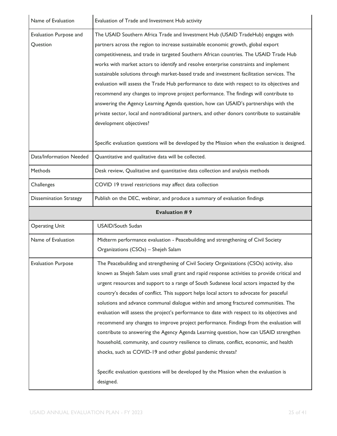| Name of Evaluation                 | Evaluation of Trade and Investment Hub activity                                                                                                                                                                                                                                                                                                                                                                                                                                                                                                                                                                                                                                                                                                                                                                                                                                                                                                                       |  |
|------------------------------------|-----------------------------------------------------------------------------------------------------------------------------------------------------------------------------------------------------------------------------------------------------------------------------------------------------------------------------------------------------------------------------------------------------------------------------------------------------------------------------------------------------------------------------------------------------------------------------------------------------------------------------------------------------------------------------------------------------------------------------------------------------------------------------------------------------------------------------------------------------------------------------------------------------------------------------------------------------------------------|--|
| Evaluation Purpose and<br>Question | The USAID Southern Africa Trade and Investment Hub (USAID TradeHub) engages with<br>partners across the region to increase sustainable economic growth, global export<br>competitiveness, and trade in targeted Southern African countries. The USAID Trade Hub<br>works with market actors to identify and resolve enterprise constraints and implement<br>sustainable solutions through market-based trade and investment facilitation services. The<br>evaluation will assess the Trade Hub performance to date with respect to its objectives and<br>recommend any changes to improve project performance. The findings will contribute to<br>answering the Agency Learning Agenda question, how can USAID's partnerships with the<br>private sector, local and nontraditional partners, and other donors contribute to sustainable<br>development objectives?<br>Specific evaluation questions will be developed by the Mission when the evaluation is designed. |  |
| Data/Information Needed            | Quantitative and qualitative data will be collected.                                                                                                                                                                                                                                                                                                                                                                                                                                                                                                                                                                                                                                                                                                                                                                                                                                                                                                                  |  |
| Methods                            | Desk review, Qualitative and quantitative data collection and analysis methods                                                                                                                                                                                                                                                                                                                                                                                                                                                                                                                                                                                                                                                                                                                                                                                                                                                                                        |  |
| Challenges                         | COVID 19 travel restrictions may affect data collection                                                                                                                                                                                                                                                                                                                                                                                                                                                                                                                                                                                                                                                                                                                                                                                                                                                                                                               |  |
| <b>Dissemination Strategy</b>      | Publish on the DEC, webinar, and produce a summary of evaluation findings                                                                                                                                                                                                                                                                                                                                                                                                                                                                                                                                                                                                                                                                                                                                                                                                                                                                                             |  |
| <b>Evaluation #9</b>               |                                                                                                                                                                                                                                                                                                                                                                                                                                                                                                                                                                                                                                                                                                                                                                                                                                                                                                                                                                       |  |
|                                    |                                                                                                                                                                                                                                                                                                                                                                                                                                                                                                                                                                                                                                                                                                                                                                                                                                                                                                                                                                       |  |
| <b>Operating Unit</b>              | <b>USAID/South Sudan</b>                                                                                                                                                                                                                                                                                                                                                                                                                                                                                                                                                                                                                                                                                                                                                                                                                                                                                                                                              |  |
| Name of Evaluation                 | Midterm performance evaluation - Peacebuilding and strengthening of Civil Society<br>Organizations (CSOs) - Shejeh Salam                                                                                                                                                                                                                                                                                                                                                                                                                                                                                                                                                                                                                                                                                                                                                                                                                                              |  |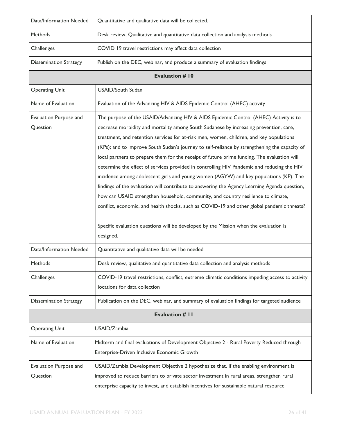| Data/Information Needed            | Quantitative and qualitative data will be collected.                                                                                                                                                                                                                                                                                                                                                                                                                                                                                                                                                                                                                                                                                                                                                                                                                                                                                                                                                                                                     |  |
|------------------------------------|----------------------------------------------------------------------------------------------------------------------------------------------------------------------------------------------------------------------------------------------------------------------------------------------------------------------------------------------------------------------------------------------------------------------------------------------------------------------------------------------------------------------------------------------------------------------------------------------------------------------------------------------------------------------------------------------------------------------------------------------------------------------------------------------------------------------------------------------------------------------------------------------------------------------------------------------------------------------------------------------------------------------------------------------------------|--|
| Methods                            | Desk review, Qualitative and quantitative data collection and analysis methods                                                                                                                                                                                                                                                                                                                                                                                                                                                                                                                                                                                                                                                                                                                                                                                                                                                                                                                                                                           |  |
| Challenges                         | COVID 19 travel restrictions may affect data collection                                                                                                                                                                                                                                                                                                                                                                                                                                                                                                                                                                                                                                                                                                                                                                                                                                                                                                                                                                                                  |  |
| <b>Dissemination Strategy</b>      | Publish on the DEC, webinar, and produce a summary of evaluation findings                                                                                                                                                                                                                                                                                                                                                                                                                                                                                                                                                                                                                                                                                                                                                                                                                                                                                                                                                                                |  |
| <b>Evaluation # 10</b>             |                                                                                                                                                                                                                                                                                                                                                                                                                                                                                                                                                                                                                                                                                                                                                                                                                                                                                                                                                                                                                                                          |  |
| <b>Operating Unit</b>              | <b>USAID/South Sudan</b>                                                                                                                                                                                                                                                                                                                                                                                                                                                                                                                                                                                                                                                                                                                                                                                                                                                                                                                                                                                                                                 |  |
| Name of Evaluation                 | Evaluation of the Advancing HIV & AIDS Epidemic Control (AHEC) activity                                                                                                                                                                                                                                                                                                                                                                                                                                                                                                                                                                                                                                                                                                                                                                                                                                                                                                                                                                                  |  |
| Evaluation Purpose and<br>Question | The purpose of the USAID/Advancing HIV & AIDS Epidemic Control (AHEC) Activity is to<br>decrease morbidity and mortality among South Sudanese by increasing prevention, care,<br>treatment, and retention services for at-risk men, women, children, and key populations<br>(KPs); and to improve South Sudan's journey to self-reliance by strengthening the capacity of<br>local partners to prepare them for the receipt of future prime funding. The evaluation will<br>determine the effect of services provided in controlling HIV Pandemic and reducing the HIV<br>incidence among adolescent girls and young women (AGYW) and key populations (KP). The<br>findings of the evaluation will contribute to answering the Agency Learning Agenda question,<br>how can USAID strengthen household, community, and country resilience to climate,<br>conflict, economic, and health shocks, such as COVID-19 and other global pandemic threats?<br>Specific evaluation questions will be developed by the Mission when the evaluation is<br>designed. |  |
| Data/Information Needed            | Quantitative and qualitative data will be needed                                                                                                                                                                                                                                                                                                                                                                                                                                                                                                                                                                                                                                                                                                                                                                                                                                                                                                                                                                                                         |  |
| <b>Methods</b>                     | Desk review, qualitative and quantitative data collection and analysis methods                                                                                                                                                                                                                                                                                                                                                                                                                                                                                                                                                                                                                                                                                                                                                                                                                                                                                                                                                                           |  |
| Challenges                         | COVID-19 travel restrictions, conflict, extreme climatic conditions impeding access to activity<br>locations for data collection                                                                                                                                                                                                                                                                                                                                                                                                                                                                                                                                                                                                                                                                                                                                                                                                                                                                                                                         |  |
| <b>Dissemination Strategy</b>      | Publication on the DEC, webinar, and summary of evaluation findings for targeted audience                                                                                                                                                                                                                                                                                                                                                                                                                                                                                                                                                                                                                                                                                                                                                                                                                                                                                                                                                                |  |
| <b>Evaluation # II</b>             |                                                                                                                                                                                                                                                                                                                                                                                                                                                                                                                                                                                                                                                                                                                                                                                                                                                                                                                                                                                                                                                          |  |
| <b>Operating Unit</b>              | USAID/Zambia                                                                                                                                                                                                                                                                                                                                                                                                                                                                                                                                                                                                                                                                                                                                                                                                                                                                                                                                                                                                                                             |  |
| Name of Evaluation                 | Midterm and final evaluations of Development Objective 2 - Rural Poverty Reduced through<br>Enterprise-Driven Inclusive Economic Growth                                                                                                                                                                                                                                                                                                                                                                                                                                                                                                                                                                                                                                                                                                                                                                                                                                                                                                                  |  |
| Evaluation Purpose and<br>Question | USAID/Zambia Development Objective 2 hypothesize that, If the enabling environment is<br>improved to reduce barriers to private sector investment in rural areas, strengthen rural<br>enterprise capacity to invest, and establish incentives for sustainable natural resource                                                                                                                                                                                                                                                                                                                                                                                                                                                                                                                                                                                                                                                                                                                                                                           |  |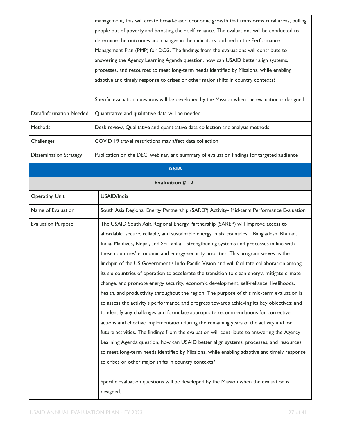|                               | management, this will create broad-based economic growth that transforms rural areas, pulling<br>people out of poverty and boosting their self-reliance. The evaluations will be conducted to<br>determine the outcomes and changes in the indicators outlined in the Performance |
|-------------------------------|-----------------------------------------------------------------------------------------------------------------------------------------------------------------------------------------------------------------------------------------------------------------------------------|
|                               | Management Plan (PMP) for DO2. The findings from the evaluations will contribute to                                                                                                                                                                                               |
|                               | answering the Agency Learning Agenda question, how can USAID better align systems,                                                                                                                                                                                                |
|                               | processes, and resources to meet long-term needs identified by Missions, while enabling                                                                                                                                                                                           |
|                               | adaptive and timely response to crises or other major shifts in country contexts?                                                                                                                                                                                                 |
|                               | Specific evaluation questions will be developed by the Mission when the evaluation is designed.                                                                                                                                                                                   |
| Data/Information Needed       | Quantitative and qualitative data will be needed                                                                                                                                                                                                                                  |
| Methods                       | Desk review, Qualitative and quantitative data collection and analysis methods                                                                                                                                                                                                    |
| Challenges                    | COVID 19 travel restrictions may affect data collection                                                                                                                                                                                                                           |
| <b>Dissemination Strategy</b> | Publication on the DEC, webinar, and summary of evaluation findings for targeted audience                                                                                                                                                                                         |
|                               | <b>ASIA</b>                                                                                                                                                                                                                                                                       |
|                               | <b>Evaluation # 12</b>                                                                                                                                                                                                                                                            |
| <b>Operating Unit</b>         | USAID/India                                                                                                                                                                                                                                                                       |
| Name of Evaluation            | South Asia Regional Energy Partnership (SAREP) Activity- Mid-term Performance Evaluation                                                                                                                                                                                          |
| <b>Evaluation Purpose</b>     | The USAID South Asia Regional Energy Partnership (SAREP) will improve access to                                                                                                                                                                                                   |
|                               | affordable, secure, reliable, and sustainable energy in six countries—Bangladesh, Bhutan,                                                                                                                                                                                         |
|                               | India, Maldives, Nepal, and Sri Lanka-strengthening systems and processes in line with                                                                                                                                                                                            |
|                               | these countries' economic and energy-security priorities. This program serves as the                                                                                                                                                                                              |
|                               | linchpin of the US Government's Indo-Pacific Vision and will facilitate collaboration among                                                                                                                                                                                       |
|                               | its six countries of operation to accelerate the transition to clean energy, mitigate climate                                                                                                                                                                                     |
|                               | change, and promote energy security, economic development, self-reliance, livelihoods,                                                                                                                                                                                            |
|                               | health, and productivity throughout the region. The purpose of this mid-term evaluation is                                                                                                                                                                                        |
|                               | to assess the activity's performance and progress towards achieving its key objectives; and                                                                                                                                                                                       |
|                               | to identify any challenges and formulate appropriate recommendations for corrective                                                                                                                                                                                               |
|                               | actions and effective implementation during the remaining years of the activity and for<br>future activities. The findings from the evaluation will contribute to answering the Agency                                                                                            |
|                               | Learning Agenda question, how can USAID better align systems, processes, and resources                                                                                                                                                                                            |
|                               | to meet long-term needs identified by Missions, while enabling adaptive and timely response                                                                                                                                                                                       |
|                               | to crises or other major shifts in country contexts?                                                                                                                                                                                                                              |
|                               | Specific evaluation questions will be developed by the Mission when the evaluation is<br>designed.                                                                                                                                                                                |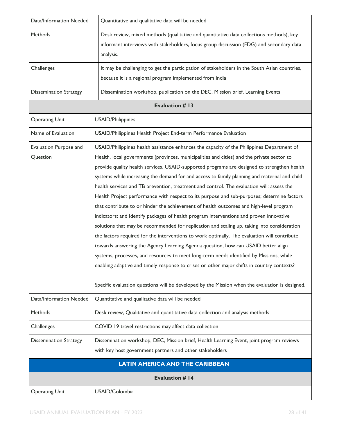| Data/Information Needed            | Quantitative and qualitative data will be needed                                                                                                                                                                                                                                                                                                                                                                                                                                                                                                                                                                                                                                                                                                                                                                                                                                                                                                                                                                                                                                                                                                                                                                                                                                                                                                        |  |
|------------------------------------|---------------------------------------------------------------------------------------------------------------------------------------------------------------------------------------------------------------------------------------------------------------------------------------------------------------------------------------------------------------------------------------------------------------------------------------------------------------------------------------------------------------------------------------------------------------------------------------------------------------------------------------------------------------------------------------------------------------------------------------------------------------------------------------------------------------------------------------------------------------------------------------------------------------------------------------------------------------------------------------------------------------------------------------------------------------------------------------------------------------------------------------------------------------------------------------------------------------------------------------------------------------------------------------------------------------------------------------------------------|--|
| <b>Methods</b>                     | Desk review, mixed methods (qualitative and quantitative data collections methods), key<br>informant interviews with stakeholders, focus group discussion (FDG) and secondary data<br>analysis.                                                                                                                                                                                                                                                                                                                                                                                                                                                                                                                                                                                                                                                                                                                                                                                                                                                                                                                                                                                                                                                                                                                                                         |  |
| Challenges                         | It may be challenging to get the participation of stakeholders in the South Asian countries,<br>because it is a regional program implemented from India                                                                                                                                                                                                                                                                                                                                                                                                                                                                                                                                                                                                                                                                                                                                                                                                                                                                                                                                                                                                                                                                                                                                                                                                 |  |
| <b>Dissemination Strategy</b>      | Dissemination workshop, publication on the DEC, Mission brief, Learning Events                                                                                                                                                                                                                                                                                                                                                                                                                                                                                                                                                                                                                                                                                                                                                                                                                                                                                                                                                                                                                                                                                                                                                                                                                                                                          |  |
|                                    | <b>Evaluation #13</b>                                                                                                                                                                                                                                                                                                                                                                                                                                                                                                                                                                                                                                                                                                                                                                                                                                                                                                                                                                                                                                                                                                                                                                                                                                                                                                                                   |  |
| <b>Operating Unit</b>              | <b>USAID/Philippines</b>                                                                                                                                                                                                                                                                                                                                                                                                                                                                                                                                                                                                                                                                                                                                                                                                                                                                                                                                                                                                                                                                                                                                                                                                                                                                                                                                |  |
| Name of Evaluation                 | USAID/Philippines Health Project End-term Performance Evaluation                                                                                                                                                                                                                                                                                                                                                                                                                                                                                                                                                                                                                                                                                                                                                                                                                                                                                                                                                                                                                                                                                                                                                                                                                                                                                        |  |
| Evaluation Purpose and<br>Question | USAID/Philippines health assistance enhances the capacity of the Philippines Department of<br>Health, local governments (provinces, municipalities and cities) and the private sector to<br>provide quality health services. USAID-supported programs are designed to strengthen health<br>systems while increasing the demand for and access to family planning and maternal and child<br>health services and TB prevention, treatment and control. The evaluation will: assess the<br>Health Project performance with respect to its purpose and sub-purposes; determine factors<br>that contribute to or hinder the achievement of health outcomes and high-level program<br>indicators; and Identify packages of health program interventions and proven innovative<br>solutions that may be recommended for replication and scaling up, taking into consideration<br>the factors required for the interventions to work optimally. The evaluation will contribute<br>towards answering the Agency Learning Agenda question, how can USAID better align<br>systems, processes, and resources to meet long-term needs identified by Missions, while<br>enabling adaptive and timely response to crises or other major shifts in country contexts?<br>Specific evaluation questions will be developed by the Mission when the evaluation is designed. |  |
| Data/Information Needed            | Quantitative and qualitative data will be needed                                                                                                                                                                                                                                                                                                                                                                                                                                                                                                                                                                                                                                                                                                                                                                                                                                                                                                                                                                                                                                                                                                                                                                                                                                                                                                        |  |
| <b>Methods</b>                     | Desk review, Qualitative and quantitative data collection and analysis methods                                                                                                                                                                                                                                                                                                                                                                                                                                                                                                                                                                                                                                                                                                                                                                                                                                                                                                                                                                                                                                                                                                                                                                                                                                                                          |  |
| Challenges                         | COVID 19 travel restrictions may affect data collection                                                                                                                                                                                                                                                                                                                                                                                                                                                                                                                                                                                                                                                                                                                                                                                                                                                                                                                                                                                                                                                                                                                                                                                                                                                                                                 |  |
| <b>Dissemination Strategy</b>      | Dissemination workshop, DEC, Mission brief, Health Learning Event, joint program reviews<br>with key host government partners and other stakeholders                                                                                                                                                                                                                                                                                                                                                                                                                                                                                                                                                                                                                                                                                                                                                                                                                                                                                                                                                                                                                                                                                                                                                                                                    |  |
|                                    | <b>LATIN AMERICA AND THE CARIBBEAN</b>                                                                                                                                                                                                                                                                                                                                                                                                                                                                                                                                                                                                                                                                                                                                                                                                                                                                                                                                                                                                                                                                                                                                                                                                                                                                                                                  |  |
|                                    | <b>Evaluation # 14</b>                                                                                                                                                                                                                                                                                                                                                                                                                                                                                                                                                                                                                                                                                                                                                                                                                                                                                                                                                                                                                                                                                                                                                                                                                                                                                                                                  |  |
| <b>Operating Unit</b>              | USAID/Colombia                                                                                                                                                                                                                                                                                                                                                                                                                                                                                                                                                                                                                                                                                                                                                                                                                                                                                                                                                                                                                                                                                                                                                                                                                                                                                                                                          |  |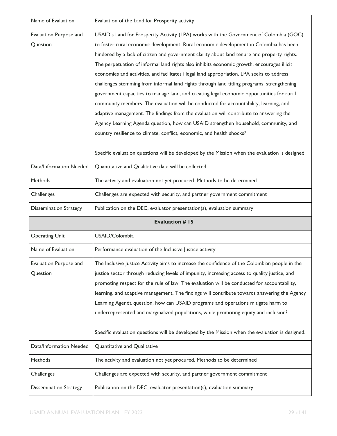| Name of Evaluation                 | Evaluation of the Land for Prosperity activity                                                                                                                                                                                                                                                                                                                                                                                                                                                                                                                                                                                                                                                                                                                                                                                                                                                                                                                                                                                                                                                                             |  |
|------------------------------------|----------------------------------------------------------------------------------------------------------------------------------------------------------------------------------------------------------------------------------------------------------------------------------------------------------------------------------------------------------------------------------------------------------------------------------------------------------------------------------------------------------------------------------------------------------------------------------------------------------------------------------------------------------------------------------------------------------------------------------------------------------------------------------------------------------------------------------------------------------------------------------------------------------------------------------------------------------------------------------------------------------------------------------------------------------------------------------------------------------------------------|--|
| Evaluation Purpose and<br>Question | USAID's Land for Prosperity Activity (LPA) works with the Government of Colombia (GOC)<br>to foster rural economic development. Rural economic development in Colombia has been<br>hindered by a lack of citizen and government clarity about land tenure and property rights.<br>The perpetuation of informal land rights also inhibits economic growth, encourages illicit<br>economies and activities, and facilitates illegal land appropriation. LPA seeks to address<br>challenges stemming from informal land rights through land titling programs, strengthening<br>government capacities to manage land, and creating legal economic opportunities for rural<br>community members. The evaluation will be conducted for accountability, learning, and<br>adaptive management. The findings from the evaluation will contribute to answering the<br>Agency Learning Agenda question, how can USAID strengthen household, community, and<br>country resilience to climate, conflict, economic, and health shocks?<br>Specific evaluation questions will be developed by the Mission when the evaluation is designed |  |
| Data/Information Needed            | Quantitative and Qualitative data will be collected.                                                                                                                                                                                                                                                                                                                                                                                                                                                                                                                                                                                                                                                                                                                                                                                                                                                                                                                                                                                                                                                                       |  |
| Methods                            | The activity and evaluation not yet procured. Methods to be determined                                                                                                                                                                                                                                                                                                                                                                                                                                                                                                                                                                                                                                                                                                                                                                                                                                                                                                                                                                                                                                                     |  |
| Challenges                         | Challenges are expected with security, and partner government commitment                                                                                                                                                                                                                                                                                                                                                                                                                                                                                                                                                                                                                                                                                                                                                                                                                                                                                                                                                                                                                                                   |  |
| <b>Dissemination Strategy</b>      | Publication on the DEC, evaluator presentation(s), evaluation summary                                                                                                                                                                                                                                                                                                                                                                                                                                                                                                                                                                                                                                                                                                                                                                                                                                                                                                                                                                                                                                                      |  |
| <b>Evaluation #15</b>              |                                                                                                                                                                                                                                                                                                                                                                                                                                                                                                                                                                                                                                                                                                                                                                                                                                                                                                                                                                                                                                                                                                                            |  |
|                                    |                                                                                                                                                                                                                                                                                                                                                                                                                                                                                                                                                                                                                                                                                                                                                                                                                                                                                                                                                                                                                                                                                                                            |  |
| <b>Operating Unit</b>              | USAID/Colombia                                                                                                                                                                                                                                                                                                                                                                                                                                                                                                                                                                                                                                                                                                                                                                                                                                                                                                                                                                                                                                                                                                             |  |
| Name of Evaluation                 | Performance evaluation of the Inclusive Justice activity                                                                                                                                                                                                                                                                                                                                                                                                                                                                                                                                                                                                                                                                                                                                                                                                                                                                                                                                                                                                                                                                   |  |
| Evaluation Purpose and<br>Question | The Inclusive Justice Activity aims to increase the confidence of the Colombian people in the<br>justice sector through reducing levels of impunity, increasing access to quality justice, and<br>promoting respect for the rule of law. The evaluation will be conducted for accountability,<br>learning, and adaptive management. The findings will contribute towards answering the Agency<br>Learning Agenda question, how can USAID programs and operations mitigate harm to<br>underrepresented and marginalized populations, while promoting equity and inclusion?<br>Specific evaluation questions will be developed by the Mission when the evaluation is designed.                                                                                                                                                                                                                                                                                                                                                                                                                                               |  |
| Data/Information Needed            | Quantitative and Qualitative                                                                                                                                                                                                                                                                                                                                                                                                                                                                                                                                                                                                                                                                                                                                                                                                                                                                                                                                                                                                                                                                                               |  |
| Methods                            | The activity and evaluation not yet procured. Methods to be determined                                                                                                                                                                                                                                                                                                                                                                                                                                                                                                                                                                                                                                                                                                                                                                                                                                                                                                                                                                                                                                                     |  |
| Challenges                         | Challenges are expected with security, and partner government commitment                                                                                                                                                                                                                                                                                                                                                                                                                                                                                                                                                                                                                                                                                                                                                                                                                                                                                                                                                                                                                                                   |  |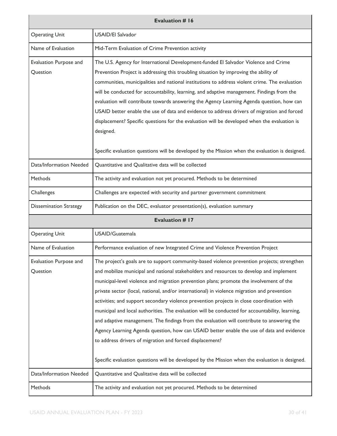| <b>Evaluation # 16</b>             |                                                                                                                                                                                                                                                                                                                                                                                                                                                                                                                                                                                                                                                                                                                                                                                                                                                                                                                                            |
|------------------------------------|--------------------------------------------------------------------------------------------------------------------------------------------------------------------------------------------------------------------------------------------------------------------------------------------------------------------------------------------------------------------------------------------------------------------------------------------------------------------------------------------------------------------------------------------------------------------------------------------------------------------------------------------------------------------------------------------------------------------------------------------------------------------------------------------------------------------------------------------------------------------------------------------------------------------------------------------|
| <b>Operating Unit</b>              | <b>USAID/El Salvador</b>                                                                                                                                                                                                                                                                                                                                                                                                                                                                                                                                                                                                                                                                                                                                                                                                                                                                                                                   |
| Name of Evaluation                 | Mid-Term Evaluation of Crime Prevention activity                                                                                                                                                                                                                                                                                                                                                                                                                                                                                                                                                                                                                                                                                                                                                                                                                                                                                           |
| Evaluation Purpose and<br>Question | The U.S. Agency for International Development-funded El Salvador Violence and Crime<br>Prevention Project is addressing this troubling situation by improving the ability of<br>communities, municipalities and national institutions to address violent crime. The evaluation<br>will be conducted for accountability, learning, and adaptive management. Findings from the<br>evaluation will contribute towards answering the Agency Learning Agenda question, how can<br>USAID better enable the use of data and evidence to address drivers of migration and forced<br>displacement? Specific questions for the evaluation will be developed when the evaluation is<br>designed.<br>Specific evaluation questions will be developed by the Mission when the evaluation is designed.                                                                                                                                                   |
| Data/Information Needed            | Quantitative and Qualitative data will be collected                                                                                                                                                                                                                                                                                                                                                                                                                                                                                                                                                                                                                                                                                                                                                                                                                                                                                        |
| Methods                            | The activity and evaluation not yet procured. Methods to be determined                                                                                                                                                                                                                                                                                                                                                                                                                                                                                                                                                                                                                                                                                                                                                                                                                                                                     |
| Challenges                         | Challenges are expected with security and partner government commitment                                                                                                                                                                                                                                                                                                                                                                                                                                                                                                                                                                                                                                                                                                                                                                                                                                                                    |
| <b>Dissemination Strategy</b>      | Publication on the DEC, evaluator presentation(s), evaluation summary                                                                                                                                                                                                                                                                                                                                                                                                                                                                                                                                                                                                                                                                                                                                                                                                                                                                      |
|                                    | <b>Evaluation #17</b>                                                                                                                                                                                                                                                                                                                                                                                                                                                                                                                                                                                                                                                                                                                                                                                                                                                                                                                      |
| <b>Operating Unit</b>              | USAID/Guatemala                                                                                                                                                                                                                                                                                                                                                                                                                                                                                                                                                                                                                                                                                                                                                                                                                                                                                                                            |
| Name of Evaluation                 | Performance evaluation of new Integrated Crime and Violence Prevention Project                                                                                                                                                                                                                                                                                                                                                                                                                                                                                                                                                                                                                                                                                                                                                                                                                                                             |
| Evaluation Purpose and<br>Question | The project's goals are to support community-based violence prevention projects; strengthen<br>and mobilize municipal and national stakeholders and resources to develop and implement<br>municipal-level violence and migration prevention plans; promote the involvement of the<br>private sector (local, national, and/or international) in violence migration and prevention<br>activities; and support secondary violence prevention projects in close coordination with<br>municipal and local authorities. The evaluation will be conducted for accountability, learning,<br>and adaptive management. The findings from the evaluation will contribute to answering the<br>Agency Learning Agenda question, how can USAID better enable the use of data and evidence<br>to address drivers of migration and forced displacement?<br>Specific evaluation questions will be developed by the Mission when the evaluation is designed. |
| Data/Information Needed            | Quantitative and Qualitative data will be collected                                                                                                                                                                                                                                                                                                                                                                                                                                                                                                                                                                                                                                                                                                                                                                                                                                                                                        |
| Methods                            | The activity and evaluation not yet procured. Methods to be determined                                                                                                                                                                                                                                                                                                                                                                                                                                                                                                                                                                                                                                                                                                                                                                                                                                                                     |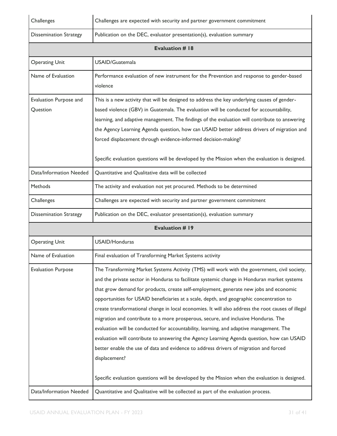| Challenges                         | Challenges are expected with security and partner government commitment                                                                                                                                                                                                                                                                                                                                                                                                                                                                                                                                                                                                                                                                                                                                                                                                         |  |  |
|------------------------------------|---------------------------------------------------------------------------------------------------------------------------------------------------------------------------------------------------------------------------------------------------------------------------------------------------------------------------------------------------------------------------------------------------------------------------------------------------------------------------------------------------------------------------------------------------------------------------------------------------------------------------------------------------------------------------------------------------------------------------------------------------------------------------------------------------------------------------------------------------------------------------------|--|--|
| <b>Dissemination Strategy</b>      | Publication on the DEC, evaluator presentation(s), evaluation summary                                                                                                                                                                                                                                                                                                                                                                                                                                                                                                                                                                                                                                                                                                                                                                                                           |  |  |
|                                    | <b>Evaluation #18</b>                                                                                                                                                                                                                                                                                                                                                                                                                                                                                                                                                                                                                                                                                                                                                                                                                                                           |  |  |
| <b>Operating Unit</b>              | USAID/Guatemala                                                                                                                                                                                                                                                                                                                                                                                                                                                                                                                                                                                                                                                                                                                                                                                                                                                                 |  |  |
| Name of Evaluation                 | Performance evaluation of new instrument for the Prevention and response to gender-based<br>violence                                                                                                                                                                                                                                                                                                                                                                                                                                                                                                                                                                                                                                                                                                                                                                            |  |  |
| Evaluation Purpose and<br>Question | This is a new activity that will be designed to address the key underlying causes of gender-<br>based violence (GBV) in Guatemala. The evaluation will be conducted for accountability,<br>learning, and adaptive management. The findings of the evaluation will contribute to answering<br>the Agency Learning Agenda question, how can USAID better address drivers of migration and<br>forced displacement through evidence-informed decision-making?<br>Specific evaluation questions will be developed by the Mission when the evaluation is designed.                                                                                                                                                                                                                                                                                                                    |  |  |
| Data/Information Needed            | Quantitative and Qualitative data will be collected                                                                                                                                                                                                                                                                                                                                                                                                                                                                                                                                                                                                                                                                                                                                                                                                                             |  |  |
| Methods                            | The activity and evaluation not yet procured. Methods to be determined                                                                                                                                                                                                                                                                                                                                                                                                                                                                                                                                                                                                                                                                                                                                                                                                          |  |  |
| Challenges                         | Challenges are expected with security and partner government commitment                                                                                                                                                                                                                                                                                                                                                                                                                                                                                                                                                                                                                                                                                                                                                                                                         |  |  |
| <b>Dissemination Strategy</b>      | Publication on the DEC, evaluator presentation(s), evaluation summary                                                                                                                                                                                                                                                                                                                                                                                                                                                                                                                                                                                                                                                                                                                                                                                                           |  |  |
|                                    | <b>Evaluation #19</b>                                                                                                                                                                                                                                                                                                                                                                                                                                                                                                                                                                                                                                                                                                                                                                                                                                                           |  |  |
| <b>Operating Unit</b>              | USAID/Honduras                                                                                                                                                                                                                                                                                                                                                                                                                                                                                                                                                                                                                                                                                                                                                                                                                                                                  |  |  |
| Name of Evaluation                 | Final evaluation of Transforming Market Systems activity                                                                                                                                                                                                                                                                                                                                                                                                                                                                                                                                                                                                                                                                                                                                                                                                                        |  |  |
| <b>Evaluation Purpose</b>          | The Transforming Market Systems Activity (TMS) will work with the government, civil society,<br>and the private sector in Honduras to facilitate systemic change in Honduran market systems<br>that grow demand for products, create self-employment, generate new jobs and economic<br>opportunities for USAID beneficiaries at a scale, depth, and geographic concentration to<br>create transformational change in local economies. It will also address the root causes of illegal<br>migration and contribute to a more prosperous, secure, and inclusive Honduras. The<br>evaluation will be conducted for accountability, learning, and adaptive management. The<br>evaluation will contribute to answering the Agency Learning Agenda question, how can USAID<br>better enable the use of data and evidence to address drivers of migration and forced<br>displacement? |  |  |
|                                    | Specific evaluation questions will be developed by the Mission when the evaluation is designed.                                                                                                                                                                                                                                                                                                                                                                                                                                                                                                                                                                                                                                                                                                                                                                                 |  |  |
| Data/Information Needed            | Quantitative and Qualitative will be collected as part of the evaluation process.                                                                                                                                                                                                                                                                                                                                                                                                                                                                                                                                                                                                                                                                                                                                                                                               |  |  |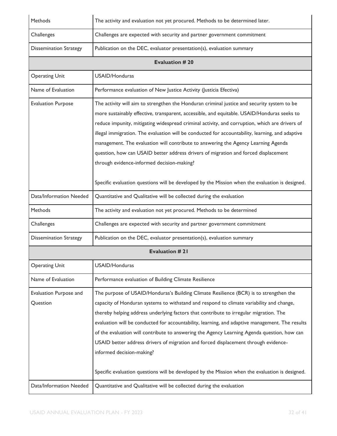| Methods                            | The activity and evaluation not yet procured. Methods to be determined later.                                                                                                                                                                                                                                                                                                                                                                                                                                                                                                                                                                                                                                                  |  |  |
|------------------------------------|--------------------------------------------------------------------------------------------------------------------------------------------------------------------------------------------------------------------------------------------------------------------------------------------------------------------------------------------------------------------------------------------------------------------------------------------------------------------------------------------------------------------------------------------------------------------------------------------------------------------------------------------------------------------------------------------------------------------------------|--|--|
| Challenges                         | Challenges are expected with security and partner government commitment                                                                                                                                                                                                                                                                                                                                                                                                                                                                                                                                                                                                                                                        |  |  |
| <b>Dissemination Strategy</b>      | Publication on the DEC, evaluator presentation(s), evaluation summary                                                                                                                                                                                                                                                                                                                                                                                                                                                                                                                                                                                                                                                          |  |  |
|                                    | <b>Evaluation #20</b>                                                                                                                                                                                                                                                                                                                                                                                                                                                                                                                                                                                                                                                                                                          |  |  |
| <b>Operating Unit</b>              | USAID/Honduras                                                                                                                                                                                                                                                                                                                                                                                                                                                                                                                                                                                                                                                                                                                 |  |  |
| Name of Evaluation                 | Performance evaluation of New Justice Activity (Justicia Efectiva)                                                                                                                                                                                                                                                                                                                                                                                                                                                                                                                                                                                                                                                             |  |  |
| <b>Evaluation Purpose</b>          | The activity will aim to strengthen the Honduran criminal justice and security system to be<br>more sustainably effective, transparent, accessible, and equitable. USAID/Honduras seeks to<br>reduce impunity, mitigating widespread criminal activity, and corruption, which are drivers of<br>illegal immigration. The evaluation will be conducted for accountability, learning, and adaptive<br>management. The evaluation will contribute to answering the Agency Learning Agenda<br>question, how can USAID better address drivers of migration and forced displacement<br>through evidence-informed decision-making?<br>Specific evaluation questions will be developed by the Mission when the evaluation is designed. |  |  |
| Data/Information Needed            | Quantitative and Qualitative will be collected during the evaluation                                                                                                                                                                                                                                                                                                                                                                                                                                                                                                                                                                                                                                                           |  |  |
| Methods                            | The activity and evaluation not yet procured. Methods to be determined                                                                                                                                                                                                                                                                                                                                                                                                                                                                                                                                                                                                                                                         |  |  |
| Challenges                         | Challenges are expected with security and partner government commitment                                                                                                                                                                                                                                                                                                                                                                                                                                                                                                                                                                                                                                                        |  |  |
| <b>Dissemination Strategy</b>      | Publication on the DEC, evaluator presentation(s), evaluation summary                                                                                                                                                                                                                                                                                                                                                                                                                                                                                                                                                                                                                                                          |  |  |
|                                    | <b>Evaluation #21</b>                                                                                                                                                                                                                                                                                                                                                                                                                                                                                                                                                                                                                                                                                                          |  |  |
| <b>Operating Unit</b>              | USAID/Honduras                                                                                                                                                                                                                                                                                                                                                                                                                                                                                                                                                                                                                                                                                                                 |  |  |
| Name of Evaluation                 | Performance evaluation of Building Climate Resilience                                                                                                                                                                                                                                                                                                                                                                                                                                                                                                                                                                                                                                                                          |  |  |
| Evaluation Purpose and<br>Question | The purpose of USAID/Honduras's Building Climate Resilience (BCR) is to strengthen the<br>capacity of Honduran systems to withstand and respond to climate variability and change,<br>thereby helping address underlying factors that contribute to irregular migration. The<br>evaluation will be conducted for accountability, learning, and adaptive management. The results<br>of the evaluation will contribute to answering the Agency Learning Agenda question, how can<br>USAID better address drivers of migration and forced displacement through evidence-<br>informed decision-making?<br>Specific evaluation questions will be developed by the Mission when the evaluation is designed.                          |  |  |
| Data/Information Needed            | Quantitative and Qualitative will be collected during the evaluation                                                                                                                                                                                                                                                                                                                                                                                                                                                                                                                                                                                                                                                           |  |  |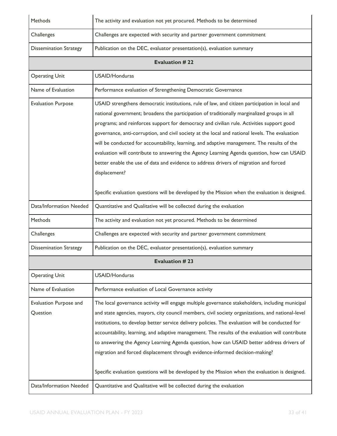| Methods                            | The activity and evaluation not yet procured. Methods to be determined                                                                                                                                                                                                                                                                                                                                                                                                                                                                                                                                                                                                                                                                                                                                  |  |  |
|------------------------------------|---------------------------------------------------------------------------------------------------------------------------------------------------------------------------------------------------------------------------------------------------------------------------------------------------------------------------------------------------------------------------------------------------------------------------------------------------------------------------------------------------------------------------------------------------------------------------------------------------------------------------------------------------------------------------------------------------------------------------------------------------------------------------------------------------------|--|--|
| Challenges                         | Challenges are expected with security and partner government commitment                                                                                                                                                                                                                                                                                                                                                                                                                                                                                                                                                                                                                                                                                                                                 |  |  |
| <b>Dissemination Strategy</b>      | Publication on the DEC, evaluator presentation(s), evaluation summary                                                                                                                                                                                                                                                                                                                                                                                                                                                                                                                                                                                                                                                                                                                                   |  |  |
|                                    | <b>Evaluation #22</b>                                                                                                                                                                                                                                                                                                                                                                                                                                                                                                                                                                                                                                                                                                                                                                                   |  |  |
| <b>Operating Unit</b>              | USAID/Honduras                                                                                                                                                                                                                                                                                                                                                                                                                                                                                                                                                                                                                                                                                                                                                                                          |  |  |
| Name of Evaluation                 | Performance evaluation of Strengthening Democratic Governance                                                                                                                                                                                                                                                                                                                                                                                                                                                                                                                                                                                                                                                                                                                                           |  |  |
| <b>Evaluation Purpose</b>          | USAID strengthens democratic institutions, rule of law, and citizen participation in local and<br>national government; broadens the participation of traditionally marginalized groups in all<br>programs; and reinforces support for democracy and civilian rule. Activities support good<br>governance, anti-corruption, and civil society at the local and national levels. The evaluation<br>will be conducted for accountability, learning, and adaptive management. The results of the<br>evaluation will contribute to answering the Agency Learning Agenda question, how can USAID<br>better enable the use of data and evidence to address drivers of migration and forced<br>displacement?<br>Specific evaluation questions will be developed by the Mission when the evaluation is designed. |  |  |
| Data/Information Needed            | Quantitative and Qualitative will be collected during the evaluation                                                                                                                                                                                                                                                                                                                                                                                                                                                                                                                                                                                                                                                                                                                                    |  |  |
| Methods                            | The activity and evaluation not yet procured. Methods to be determined                                                                                                                                                                                                                                                                                                                                                                                                                                                                                                                                                                                                                                                                                                                                  |  |  |
| Challenges                         | Challenges are expected with security and partner government commitment                                                                                                                                                                                                                                                                                                                                                                                                                                                                                                                                                                                                                                                                                                                                 |  |  |
| <b>Dissemination Strategy</b>      | Publication on the DEC, evaluator presentation(s), evaluation summary                                                                                                                                                                                                                                                                                                                                                                                                                                                                                                                                                                                                                                                                                                                                   |  |  |
|                                    | <b>Evaluation #23</b>                                                                                                                                                                                                                                                                                                                                                                                                                                                                                                                                                                                                                                                                                                                                                                                   |  |  |
| <b>Operating Unit</b>              | USAID/Honduras                                                                                                                                                                                                                                                                                                                                                                                                                                                                                                                                                                                                                                                                                                                                                                                          |  |  |
| Name of Evaluation                 | Performance evaluation of Local Governance activity                                                                                                                                                                                                                                                                                                                                                                                                                                                                                                                                                                                                                                                                                                                                                     |  |  |
| Evaluation Purpose and<br>Question | The local governance activity will engage multiple governance stakeholders, including municipal<br>and state agencies, mayors, city council members, civil society organizations, and national-level<br>institutions, to develop better service delivery policies. The evaluation will be conducted for<br>accountability, learning, and adaptive management. The results of the evaluation will contribute<br>to answering the Agency Learning Agenda question, how can USAID better address drivers of<br>migration and forced displacement through evidence-informed decision-making?<br>Specific evaluation questions will be developed by the Mission when the evaluation is designed.                                                                                                             |  |  |
| Data/Information Needed            | Quantitative and Qualitative will be collected during the evaluation                                                                                                                                                                                                                                                                                                                                                                                                                                                                                                                                                                                                                                                                                                                                    |  |  |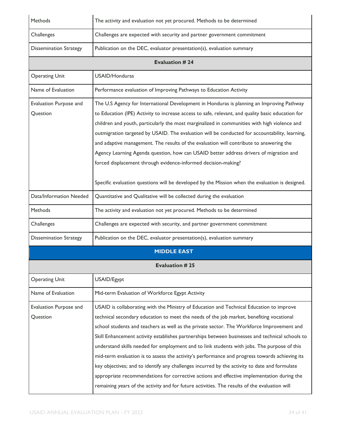| Methods                            | The activity and evaluation not yet procured. Methods to be determined                                                                                                                                                                                                                                                                                                                                                                                                                                                                                                                                                                                                                                                                                                                                                                                                                |  |  |
|------------------------------------|---------------------------------------------------------------------------------------------------------------------------------------------------------------------------------------------------------------------------------------------------------------------------------------------------------------------------------------------------------------------------------------------------------------------------------------------------------------------------------------------------------------------------------------------------------------------------------------------------------------------------------------------------------------------------------------------------------------------------------------------------------------------------------------------------------------------------------------------------------------------------------------|--|--|
| Challenges                         | Challenges are expected with security and partner government commitment                                                                                                                                                                                                                                                                                                                                                                                                                                                                                                                                                                                                                                                                                                                                                                                                               |  |  |
| <b>Dissemination Strategy</b>      | Publication on the DEC, evaluator presentation(s), evaluation summary                                                                                                                                                                                                                                                                                                                                                                                                                                                                                                                                                                                                                                                                                                                                                                                                                 |  |  |
|                                    | <b>Evaluation #24</b>                                                                                                                                                                                                                                                                                                                                                                                                                                                                                                                                                                                                                                                                                                                                                                                                                                                                 |  |  |
| <b>Operating Unit</b>              | USAID/Honduras                                                                                                                                                                                                                                                                                                                                                                                                                                                                                                                                                                                                                                                                                                                                                                                                                                                                        |  |  |
| Name of Evaluation                 | Performance evaluation of Improving Pathways to Education Activity                                                                                                                                                                                                                                                                                                                                                                                                                                                                                                                                                                                                                                                                                                                                                                                                                    |  |  |
| Evaluation Purpose and<br>Question | The U.S Agency for International Development in Honduras is planning an Improving Pathway<br>to Education (IPE) Activity to increase access to safe, relevant, and quality basic education for<br>children and youth, particularly the most marginalized in communities with high violence and<br>outmigration targeted by USAID. The evaluation will be conducted for accountability, learning,<br>and adaptive management. The results of the evaluation will contribute to answering the<br>Agency Learning Agenda question, how can USAID better address drivers of migration and<br>forced displacement through evidence-informed decision-making?<br>Specific evaluation questions will be developed by the Mission when the evaluation is designed.                                                                                                                            |  |  |
| Data/Information Needed            | Quantitative and Qualitative will be collected during the evaluation                                                                                                                                                                                                                                                                                                                                                                                                                                                                                                                                                                                                                                                                                                                                                                                                                  |  |  |
| Methods                            | The activity and evaluation not yet procured. Methods to be determined                                                                                                                                                                                                                                                                                                                                                                                                                                                                                                                                                                                                                                                                                                                                                                                                                |  |  |
| Challenges                         | Challenges are expected with security, and partner government commitment                                                                                                                                                                                                                                                                                                                                                                                                                                                                                                                                                                                                                                                                                                                                                                                                              |  |  |
| <b>Dissemination Strategy</b>      | Publication on the DEC, evaluator presentation(s), evaluation summary                                                                                                                                                                                                                                                                                                                                                                                                                                                                                                                                                                                                                                                                                                                                                                                                                 |  |  |
|                                    | <b>MIDDLE EAST</b>                                                                                                                                                                                                                                                                                                                                                                                                                                                                                                                                                                                                                                                                                                                                                                                                                                                                    |  |  |
|                                    | <b>Evaluation #25</b>                                                                                                                                                                                                                                                                                                                                                                                                                                                                                                                                                                                                                                                                                                                                                                                                                                                                 |  |  |
| <b>Operating Unit</b>              | USAID/Egypt                                                                                                                                                                                                                                                                                                                                                                                                                                                                                                                                                                                                                                                                                                                                                                                                                                                                           |  |  |
| Name of Evaluation                 | Mid-term Evaluation of Workforce Egypt Activity                                                                                                                                                                                                                                                                                                                                                                                                                                                                                                                                                                                                                                                                                                                                                                                                                                       |  |  |
| Evaluation Purpose and<br>Question | USAID is collaborating with the Ministry of Education and Technical Education to improve<br>technical secondary education to meet the needs of the job market, benefiting vocational<br>school students and teachers as well as the private sector. The Workforce Improvement and<br>Skill Enhancement activity establishes partnerships between businesses and technical schools to<br>understand skills needed for employment and to link students with jobs. The purpose of this<br>mid-term evaluation is to assess the activity's performance and progress towards achieving its<br>key objectives; and to identify any challenges incurred by the activity to date and formulate<br>appropriate recommendations for corrective actions and effective implementation during the<br>remaining years of the activity and for future activities. The results of the evaluation will |  |  |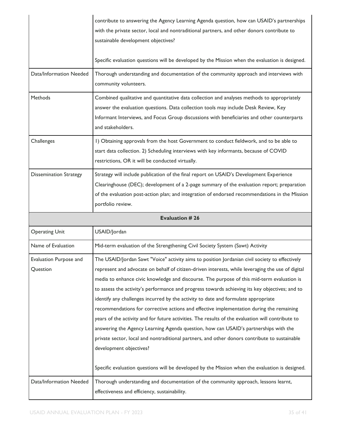|                                    | contribute to answering the Agency Learning Agenda question, how can USAID's partnerships<br>with the private sector, local and nontraditional partners, and other donors contribute to<br>sustainable development objectives?                                                                                                                                                                                                                                                                                                                                                                                                                                                                                                                                                                                                                                                                                                                                                                                    |
|------------------------------------|-------------------------------------------------------------------------------------------------------------------------------------------------------------------------------------------------------------------------------------------------------------------------------------------------------------------------------------------------------------------------------------------------------------------------------------------------------------------------------------------------------------------------------------------------------------------------------------------------------------------------------------------------------------------------------------------------------------------------------------------------------------------------------------------------------------------------------------------------------------------------------------------------------------------------------------------------------------------------------------------------------------------|
|                                    | Specific evaluation questions will be developed by the Mission when the evaluation is designed.                                                                                                                                                                                                                                                                                                                                                                                                                                                                                                                                                                                                                                                                                                                                                                                                                                                                                                                   |
| Data/Information Needed            | Thorough understanding and documentation of the community approach and interviews with<br>community volunteers.                                                                                                                                                                                                                                                                                                                                                                                                                                                                                                                                                                                                                                                                                                                                                                                                                                                                                                   |
| <b>Methods</b>                     | Combined qualitative and quantitative data collection and analyses methods to appropriately<br>answer the evaluation questions. Data collection tools may include Desk Review, Key<br>Informant Interviews, and Focus Group discussions with beneficiaries and other counterparts<br>and stakeholders.                                                                                                                                                                                                                                                                                                                                                                                                                                                                                                                                                                                                                                                                                                            |
| Challenges                         | I) Obtaining approvals from the host Government to conduct fieldwork, and to be able to<br>start data collection. 2) Scheduling interviews with key informants, because of COVID<br>restrictions, OR it will be conducted virtually.                                                                                                                                                                                                                                                                                                                                                                                                                                                                                                                                                                                                                                                                                                                                                                              |
| <b>Dissemination Strategy</b>      | Strategy will include publication of the final report on USAID's Development Experience<br>Clearinghouse (DEC); development of a 2-page summary of the evaluation report; preparation<br>of the evaluation post-action plan; and integration of endorsed recommendations in the Mission<br>portfolio review.                                                                                                                                                                                                                                                                                                                                                                                                                                                                                                                                                                                                                                                                                                      |
|                                    |                                                                                                                                                                                                                                                                                                                                                                                                                                                                                                                                                                                                                                                                                                                                                                                                                                                                                                                                                                                                                   |
|                                    | <b>Evaluation #26</b>                                                                                                                                                                                                                                                                                                                                                                                                                                                                                                                                                                                                                                                                                                                                                                                                                                                                                                                                                                                             |
| <b>Operating Unit</b>              | USAID/Jordan                                                                                                                                                                                                                                                                                                                                                                                                                                                                                                                                                                                                                                                                                                                                                                                                                                                                                                                                                                                                      |
| Name of Evaluation                 | Mid-term evaluation of the Strengthening Civil Society System (Sawt) Activity                                                                                                                                                                                                                                                                                                                                                                                                                                                                                                                                                                                                                                                                                                                                                                                                                                                                                                                                     |
| Evaluation Purpose and<br>Question | The USAID/Jordan Sawt "Voice" activity aims to position Jordanian civil society to effectively<br>represent and advocate on behalf of citizen-driven interests, while leveraging the use of digital<br>media to enhance civic knowledge and discourse. The purpose of this mid-term evaluation is<br>to assess the activity's performance and progress towards achieving its key objectives; and to<br>identify any challenges incurred by the activity to date and formulate appropriate<br>recommendations for corrective actions and effective implementation during the remaining<br>years of the activity and for future activities. The results of the evaluation will contribute to<br>answering the Agency Learning Agenda question, how can USAID's partnerships with the<br>private sector, local and nontraditional partners, and other donors contribute to sustainable<br>development objectives?<br>Specific evaluation questions will be developed by the Mission when the evaluation is designed. |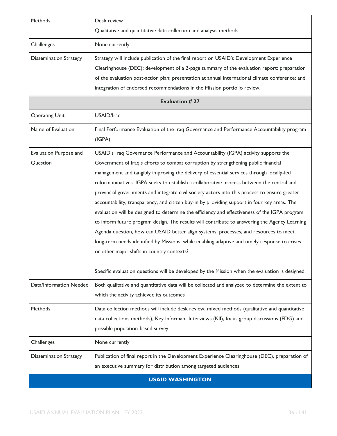| Methods                            | Desk review<br>Qualitative and quantitative data collection and analysis methods                                                                                                                                                                                                                                                                                                                                                                                                                                                                                                                                                                                                                                                                                                                                                                                                                                                                                                                                                                                                                                    |
|------------------------------------|---------------------------------------------------------------------------------------------------------------------------------------------------------------------------------------------------------------------------------------------------------------------------------------------------------------------------------------------------------------------------------------------------------------------------------------------------------------------------------------------------------------------------------------------------------------------------------------------------------------------------------------------------------------------------------------------------------------------------------------------------------------------------------------------------------------------------------------------------------------------------------------------------------------------------------------------------------------------------------------------------------------------------------------------------------------------------------------------------------------------|
| Challenges                         | None currently                                                                                                                                                                                                                                                                                                                                                                                                                                                                                                                                                                                                                                                                                                                                                                                                                                                                                                                                                                                                                                                                                                      |
| <b>Dissemination Strategy</b>      | Strategy will include publication of the final report on USAID's Development Experience<br>Clearinghouse (DEC); development of a 2-page summary of the evaluation report; preparation<br>of the evaluation post-action plan; presentation at annual international climate conference; and<br>integration of endorsed recommendations in the Mission portfolio review.                                                                                                                                                                                                                                                                                                                                                                                                                                                                                                                                                                                                                                                                                                                                               |
|                                    | <b>Evaluation #27</b>                                                                                                                                                                                                                                                                                                                                                                                                                                                                                                                                                                                                                                                                                                                                                                                                                                                                                                                                                                                                                                                                                               |
| <b>Operating Unit</b>              | USAID/Iraq                                                                                                                                                                                                                                                                                                                                                                                                                                                                                                                                                                                                                                                                                                                                                                                                                                                                                                                                                                                                                                                                                                          |
| Name of Evaluation                 | Final Performance Evaluation of the Iraq Governance and Performance Accountability program<br>(IGPA)                                                                                                                                                                                                                                                                                                                                                                                                                                                                                                                                                                                                                                                                                                                                                                                                                                                                                                                                                                                                                |
| Evaluation Purpose and<br>Question | USAID's Iraq Governance Performance and Accountability (IGPA) activity supports the<br>Government of Iraq's efforts to combat corruption by strengthening public financial<br>management and tangibly improving the delivery of essential services through locally-led<br>reform initiatives. IGPA seeks to establish a collaborative process between the central and<br>provincial governments and integrate civil society actors into this process to ensure greater<br>accountability, transparency, and citizen buy-in by providing support in four key areas. The<br>evaluation will be designed to determine the efficiency and effectiveness of the IGPA program<br>to inform future program design. The results will contribute to answering the Agency Learning<br>Agenda question, how can USAID better align systems, processes, and resources to meet<br>long-term needs identified by Missions, while enabling adaptive and timely response to crises<br>or other major shifts in country contexts?<br>Specific evaluation questions will be developed by the Mission when the evaluation is designed. |
| Data/Information Needed            | Both qualitative and quantitative data will be collected and analyzed to determine the extent to<br>which the activity achieved its outcomes                                                                                                                                                                                                                                                                                                                                                                                                                                                                                                                                                                                                                                                                                                                                                                                                                                                                                                                                                                        |
| Methods                            | Data collection methods will include desk review, mixed methods (qualitative and quantitative<br>data collections methods), Key Informant Interviews (KII), focus group discussions (FDG) and<br>possible population-based survey                                                                                                                                                                                                                                                                                                                                                                                                                                                                                                                                                                                                                                                                                                                                                                                                                                                                                   |
| Challenges                         | None currently                                                                                                                                                                                                                                                                                                                                                                                                                                                                                                                                                                                                                                                                                                                                                                                                                                                                                                                                                                                                                                                                                                      |
| <b>Dissemination Strategy</b>      | Publication of final report in the Development Experience Clearinghouse (DEC), preparation of<br>an executive summary for distribution among targeted audiences                                                                                                                                                                                                                                                                                                                                                                                                                                                                                                                                                                                                                                                                                                                                                                                                                                                                                                                                                     |
|                                    | <b>USAID WASHINGTON</b>                                                                                                                                                                                                                                                                                                                                                                                                                                                                                                                                                                                                                                                                                                                                                                                                                                                                                                                                                                                                                                                                                             |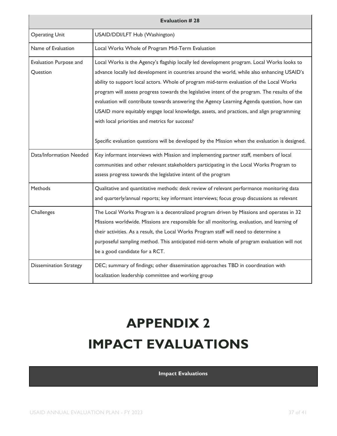| <b>Evaluation #28</b>              |                                                                                                                                                                                                                                                                                                                                                                                                                                                                                                                                                                                                                                                                                                                                        |  |
|------------------------------------|----------------------------------------------------------------------------------------------------------------------------------------------------------------------------------------------------------------------------------------------------------------------------------------------------------------------------------------------------------------------------------------------------------------------------------------------------------------------------------------------------------------------------------------------------------------------------------------------------------------------------------------------------------------------------------------------------------------------------------------|--|
| <b>Operating Unit</b>              | USAID/DDI/LFT Hub (Washington)                                                                                                                                                                                                                                                                                                                                                                                                                                                                                                                                                                                                                                                                                                         |  |
| Name of Evaluation                 | Local Works Whole of Program Mid-Term Evaluation                                                                                                                                                                                                                                                                                                                                                                                                                                                                                                                                                                                                                                                                                       |  |
| Evaluation Purpose and<br>Question | Local Works is the Agency's flagship locally led development program. Local Works looks to<br>advance locally led development in countries around the world, while also enhancing USAID's<br>ability to support local actors. Whole of program mid-term evaluation of the Local Works<br>program will assess progress towards the legislative intent of the program. The results of the<br>evaluation will contribute towards answering the Agency Learning Agenda question, how can<br>USAID more equitably engage local knowledge, assets, and practices, and align programming<br>with local priorities and metrics for success?<br>Specific evaluation questions will be developed by the Mission when the evaluation is designed. |  |
| Data/Information Needed            | Key informant interviews with Mission and implementing partner staff, members of local<br>communities and other relevant stakeholders participating in the Local Works Program to<br>assess progress towards the legislative intent of the program                                                                                                                                                                                                                                                                                                                                                                                                                                                                                     |  |
| Methods                            | Qualitative and quantitative methods: desk review of relevant performance monitoring data<br>and quarterly/annual reports; key informant interviews; focus group discussions as relevant                                                                                                                                                                                                                                                                                                                                                                                                                                                                                                                                               |  |
| Challenges                         | The Local Works Program is a decentralized program driven by Missions and operates in 32<br>Missions worldwide. Missions are responsible for all monitoring, evaluation, and learning of<br>their activities. As a result, the Local Works Program staff will need to determine a<br>purposeful sampling method. This anticipated mid-term whole of program evaluation will not<br>be a good candidate for a RCT.                                                                                                                                                                                                                                                                                                                      |  |
| <b>Dissemination Strategy</b>      | DEC; summary of findings; other dissemination approaches TBD in coordination with<br>localization leadership committee and working group                                                                                                                                                                                                                                                                                                                                                                                                                                                                                                                                                                                               |  |

### <span id="page-36-0"></span>**APPENDIX 2 IMPACT EVALUATIONS**

#### **Impact Evaluations**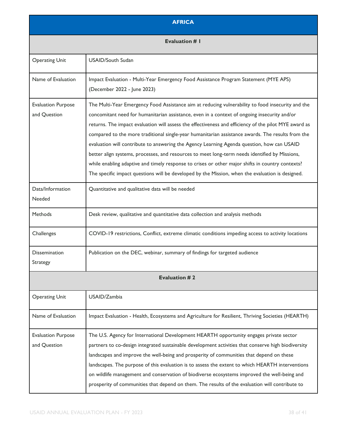| <b>AFRICA</b>                             |                                                                                                                                                                                                                                                                                                                                                                                                                                                                                                                                                                                                                                                                                                                                                                                                                         |  |
|-------------------------------------------|-------------------------------------------------------------------------------------------------------------------------------------------------------------------------------------------------------------------------------------------------------------------------------------------------------------------------------------------------------------------------------------------------------------------------------------------------------------------------------------------------------------------------------------------------------------------------------------------------------------------------------------------------------------------------------------------------------------------------------------------------------------------------------------------------------------------------|--|
| <b>Evaluation # I</b>                     |                                                                                                                                                                                                                                                                                                                                                                                                                                                                                                                                                                                                                                                                                                                                                                                                                         |  |
| <b>Operating Unit</b>                     | <b>USAID/South Sudan</b>                                                                                                                                                                                                                                                                                                                                                                                                                                                                                                                                                                                                                                                                                                                                                                                                |  |
| Name of Evaluation                        | Impact Evaluation - Multi-Year Emergency Food Assistance Program Statement (MYE APS)<br>(December 2022 - June 2023)                                                                                                                                                                                                                                                                                                                                                                                                                                                                                                                                                                                                                                                                                                     |  |
| <b>Evaluation Purpose</b><br>and Question | The Multi-Year Emergency Food Assistance aim at reducing vulnerability to food insecurity and the<br>concomitant need for humanitarian assistance, even in a context of ongoing insecurity and/or<br>returns. The impact evaluation will assess the effectiveness and efficiency of the pilot MYE award as<br>compared to the more traditional single-year humanitarian assistance awards. The results from the<br>evaluation will contribute to answering the Agency Learning Agenda question, how can USAID<br>better align systems, processes, and resources to meet long-term needs identified by Missions,<br>while enabling adaptive and timely response to crises or other major shifts in country contexts?<br>The specific impact questions will be developed by the Mission, when the evaluation is designed. |  |
| Data/Information<br>Needed                | Quantitative and qualitative data will be needed                                                                                                                                                                                                                                                                                                                                                                                                                                                                                                                                                                                                                                                                                                                                                                        |  |
| <b>Methods</b>                            | Desk review, qualitative and quantitative data collection and analysis methods                                                                                                                                                                                                                                                                                                                                                                                                                                                                                                                                                                                                                                                                                                                                          |  |
| Challenges                                | COVID-19 restrictions, Conflict, extreme climatic conditions impeding access to activity locations                                                                                                                                                                                                                                                                                                                                                                                                                                                                                                                                                                                                                                                                                                                      |  |
| <b>Dissemination</b><br>Strategy          | Publication on the DEC, webinar, summary of findings for targeted audience                                                                                                                                                                                                                                                                                                                                                                                                                                                                                                                                                                                                                                                                                                                                              |  |
|                                           | <b>Evaluation #2</b>                                                                                                                                                                                                                                                                                                                                                                                                                                                                                                                                                                                                                                                                                                                                                                                                    |  |
| <b>Operating Unit</b>                     | USAID/Zambia                                                                                                                                                                                                                                                                                                                                                                                                                                                                                                                                                                                                                                                                                                                                                                                                            |  |
| Name of Evaluation                        | Impact Evaluation - Health, Ecosystems and Agriculture for Resilient, Thriving Societies (HEARTH)                                                                                                                                                                                                                                                                                                                                                                                                                                                                                                                                                                                                                                                                                                                       |  |
| <b>Evaluation Purpose</b><br>and Question | The U.S. Agency for International Development HEARTH opportunity engages private sector<br>partners to co-design integrated sustainable development activities that conserve high biodiversity<br>landscapes and improve the well-being and prosperity of communities that depend on these<br>landscapes. The purpose of this evaluation is to assess the extent to which HEARTH interventions<br>on wildlife management and conservation of biodiverse ecosystems improved the well-being and<br>prosperity of communities that depend on them. The results of the evaluation will contribute to                                                                                                                                                                                                                       |  |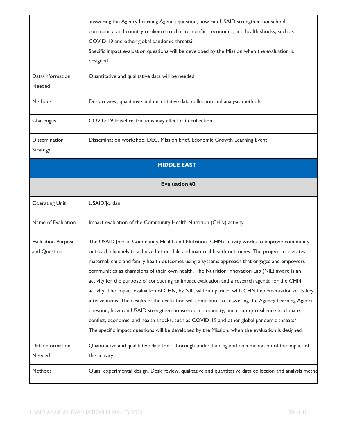|                                           | answering the Agency Learning Agenda question, how can USAID strengthen household,<br>community, and country resilience to climate, conflict, economic, and health shocks, such as<br>COVID-19 and other global pandemic threats?<br>Specific impact evaluation questions will be developed by the Mission when the evaluation is<br>designed.                                                                                                                                                                                                                                                                                                                                                                                                                                                                                                                                                                                                                                                                  |  |
|-------------------------------------------|-----------------------------------------------------------------------------------------------------------------------------------------------------------------------------------------------------------------------------------------------------------------------------------------------------------------------------------------------------------------------------------------------------------------------------------------------------------------------------------------------------------------------------------------------------------------------------------------------------------------------------------------------------------------------------------------------------------------------------------------------------------------------------------------------------------------------------------------------------------------------------------------------------------------------------------------------------------------------------------------------------------------|--|
| Data/Information<br>Needed                | Quantitative and qualitative data will be needed                                                                                                                                                                                                                                                                                                                                                                                                                                                                                                                                                                                                                                                                                                                                                                                                                                                                                                                                                                |  |
| <b>Methods</b>                            | Desk review, qualitative and quantitative data collection and analysis methods                                                                                                                                                                                                                                                                                                                                                                                                                                                                                                                                                                                                                                                                                                                                                                                                                                                                                                                                  |  |
| Challenges                                | COVID 19 travel restrictions may affect data collection                                                                                                                                                                                                                                                                                                                                                                                                                                                                                                                                                                                                                                                                                                                                                                                                                                                                                                                                                         |  |
| Dissemination<br>Strategy                 | Dissemination workshop, DEC, Mission brief, Economic Growth Learning Event                                                                                                                                                                                                                                                                                                                                                                                                                                                                                                                                                                                                                                                                                                                                                                                                                                                                                                                                      |  |
| <b>MIDDLE EAST</b>                        |                                                                                                                                                                                                                                                                                                                                                                                                                                                                                                                                                                                                                                                                                                                                                                                                                                                                                                                                                                                                                 |  |
|                                           | <b>Evaluation #3</b>                                                                                                                                                                                                                                                                                                                                                                                                                                                                                                                                                                                                                                                                                                                                                                                                                                                                                                                                                                                            |  |
| <b>Operating Unit</b>                     | USAID/Jordan                                                                                                                                                                                                                                                                                                                                                                                                                                                                                                                                                                                                                                                                                                                                                                                                                                                                                                                                                                                                    |  |
| Name of Evaluation                        | Impact evaluation of the Community Health Nutrition (CHN) activity                                                                                                                                                                                                                                                                                                                                                                                                                                                                                                                                                                                                                                                                                                                                                                                                                                                                                                                                              |  |
| <b>Evaluation Purpose</b><br>and Question | The USAID Jordan Community Health and Nutrition (CHN) activity works to improve community<br>outreach channels to achieve better child and maternal health outcomes. The project accelerates<br>maternal, child and family health outcomes using a systems approach that engages and empowers<br>communities as champions of their own health. The Nutrition Innovation Lab (NIL) award is an<br>activity for the purpose of conducting an impact evaluation and a research agenda for the CHN<br>activity. The impact evaluation of CHN, by NIL, will run parallel with CHN implementation of its key<br>interventions. The results of the evaluation will contribute to answering the Agency Learning Agenda<br>question, how can USAID strengthen household, community, and country resilience to climate,<br>conflict, economic, and health shocks, such as COVID-19 and other global pandemic threats?<br>The specific impact questions will be developed by the Mission, when the evaluation is designed. |  |
| Data/Information<br>Needed                | Quantitative and qualitative data for a thorough understanding and documentation of the impact of<br>the activity.                                                                                                                                                                                                                                                                                                                                                                                                                                                                                                                                                                                                                                                                                                                                                                                                                                                                                              |  |
| Methods                                   | Quasi experimental design. Desk review, qualitative and quantitative data collection and analysis metho                                                                                                                                                                                                                                                                                                                                                                                                                                                                                                                                                                                                                                                                                                                                                                                                                                                                                                         |  |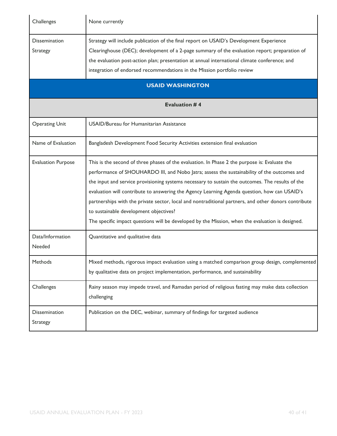| Challenges                       | None currently                                                                                                                                                                                                                                                                                                                                                                                                                                                                                                                                                                                                                                         |  |
|----------------------------------|--------------------------------------------------------------------------------------------------------------------------------------------------------------------------------------------------------------------------------------------------------------------------------------------------------------------------------------------------------------------------------------------------------------------------------------------------------------------------------------------------------------------------------------------------------------------------------------------------------------------------------------------------------|--|
| <b>Dissemination</b><br>Strategy | Strategy will include publication of the final report on USAID's Development Experience<br>Clearinghouse (DEC); development of a 2-page summary of the evaluation report; preparation of<br>the evaluation post-action plan; presentation at annual international climate conference; and<br>integration of endorsed recommendations in the Mission portfolio review<br><b>USAID WASHINGTON</b>                                                                                                                                                                                                                                                        |  |
| <b>Evaluation #4</b>             |                                                                                                                                                                                                                                                                                                                                                                                                                                                                                                                                                                                                                                                        |  |
| <b>Operating Unit</b>            | USAID/Bureau for Humanitarian Assistance                                                                                                                                                                                                                                                                                                                                                                                                                                                                                                                                                                                                               |  |
| Name of Evaluation               | Bangladesh Development Food Security Activities extension final evaluation                                                                                                                                                                                                                                                                                                                                                                                                                                                                                                                                                                             |  |
| <b>Evaluation Purpose</b>        | This is the second of three phases of the evaluation. In Phase 2 the purpose is: Evaluate the<br>performance of SHOUHARDO III, and Nobo Jatra; assess the sustainability of the outcomes and<br>the input and service provisioning systems necessary to sustain the outcomes. The results of the<br>evaluation will contribute to answering the Agency Learning Agenda question, how can USAID's<br>partnerships with the private sector, local and nontraditional partners, and other donors contribute<br>to sustainable development objectives?<br>The specific impact questions will be developed by the Mission, when the evaluation is designed. |  |
| Data/Information<br>Needed       | Quantitative and qualitative data                                                                                                                                                                                                                                                                                                                                                                                                                                                                                                                                                                                                                      |  |
| Methods                          | Mixed methods, rigorous impact evaluation using a matched comparison group design, complemented<br>by qualitative data on project implementation, performance, and sustainability                                                                                                                                                                                                                                                                                                                                                                                                                                                                      |  |
| Challenges                       | Rainy season may impede travel, and Ramadan period of religious fasting may make data collection<br>challenging                                                                                                                                                                                                                                                                                                                                                                                                                                                                                                                                        |  |
| <b>Dissemination</b><br>Strategy | Publication on the DEC, webinar, summary of findings for targeted audience                                                                                                                                                                                                                                                                                                                                                                                                                                                                                                                                                                             |  |